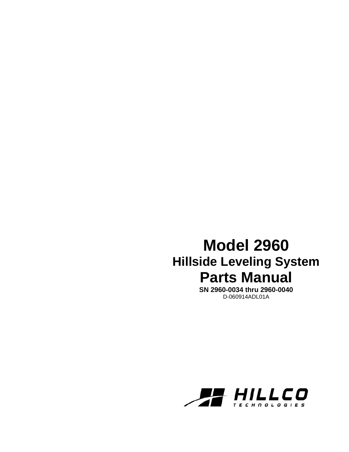# **Model 2960 Hillside Leveling System Parts Manual**

**SN 2960-0034 thru 2960-0040**  D-060914ADL01A

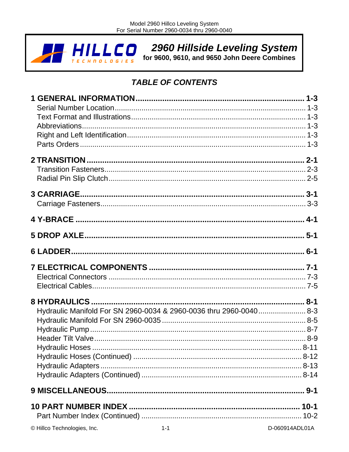2960 Hillside Leveling System<br>for 9600, 9610, and 9650 John Deere Combines  $LLCO$  $\Box$ 

# **TABLE OF CONTENTS**

| Hydraulic Manifold For SN 2960-0034 & 2960-0036 thru 2960-0040 8-3 |  |
|--------------------------------------------------------------------|--|
|                                                                    |  |
|                                                                    |  |
|                                                                    |  |
|                                                                    |  |
|                                                                    |  |
|                                                                    |  |
|                                                                    |  |
|                                                                    |  |
|                                                                    |  |
|                                                                    |  |
| © Hillco Technologies, Inc.<br>$1 - 1$<br>D-060914ADL01A           |  |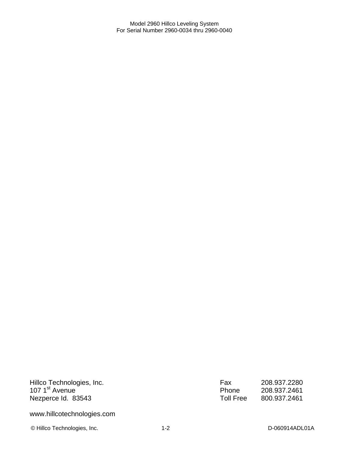Hillco Technologies, Inc. 107 1<sup>st</sup> Avenue Nezperce Id. 83543

www.hillcotechnologies.com

© Hillco Technologies, Inc. 1-2 1-2 D-060914ADL01A

| Fax       | 208.937.2280 |
|-----------|--------------|
| Phone     | 208.937.2461 |
| Toll Free | 800.937.2461 |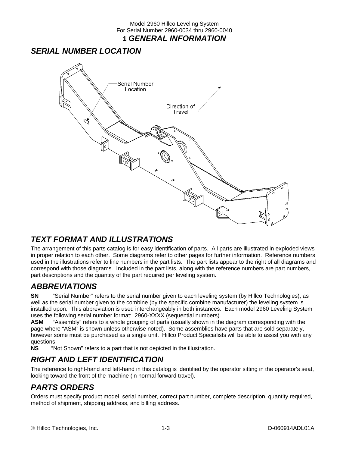### Model 2960 Hillco Leveling System For Serial Number 2960-0034 thru 2960-0040 **1** *GENERAL INFORMATION*

### *SERIAL NUMBER LOCATION*



## *TEXT FORMAT AND ILLUSTRATIONS*

The arrangement of this parts catalog is for easy identification of parts. All parts are illustrated in exploded views in proper relation to each other. Some diagrams refer to other pages for further information. Reference numbers used in the illustrations refer to line numbers in the part lists. The part lists appear to the right of all diagrams and correspond with those diagrams. Included in the part lists, along with the reference numbers are part numbers, part descriptions and the quantity of the part required per leveling system.

### *ABBREVIATIONS*

**SN** "Serial Number" refers to the serial number given to each leveling system (by Hillco Technologies), as well as the serial number given to the combine (by the specific combine manufacturer) the leveling system is installed upon. This abbreviation is used interchangeably in both instances. Each model 2960 Leveling System uses the following serial number format: 2960-XXXX (sequential numbers).

**ASM** "Assembly" refers to a whole grouping of parts (usually shown in the diagram corresponding with the page where "ASM" is shown unless otherwise noted). Some assemblies have parts that are sold separately, however some must be purchased as a single unit. Hillco Product Specialists will be able to assist you with any questions.<br>NS "N

"Not Shown" refers to a part that is not depicted in the illustration.

### *RIGHT AND LEFT IDENTIFICATION*

The reference to right-hand and left-hand in this catalog is identified by the operator sitting in the operator's seat, looking toward the front of the machine (in normal forward travel).

### *PARTS ORDERS*

Orders must specify product model, serial number, correct part number, complete description, quantity required, method of shipment, shipping address, and billing address.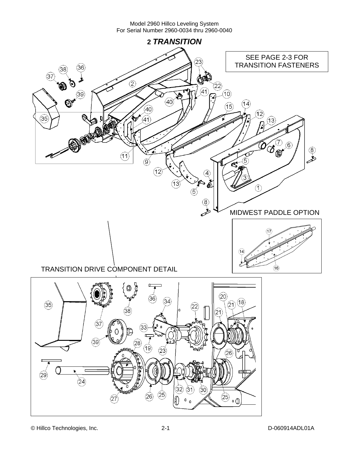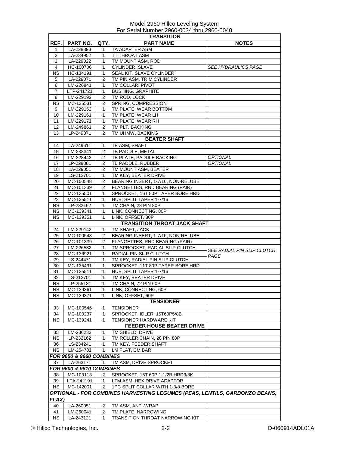| <b>TRANSITION</b>                   |                                     |                |                                                                            |                                   |  |  |
|-------------------------------------|-------------------------------------|----------------|----------------------------------------------------------------------------|-----------------------------------|--|--|
| REF.                                | <b>PART NO.</b>                     | QTY.           | <b>PART NAME</b>                                                           | <b>NOTES</b>                      |  |  |
| 1                                   | LA-228893                           | 1              | TA ADAPTER ASM                                                             |                                   |  |  |
| 2                                   | LA-234952                           | 1              | TT THROAT ASM                                                              |                                   |  |  |
| 3                                   | LA-229022                           | 1              | TM MOUNT ASM, ROD                                                          |                                   |  |  |
| 4                                   | HC-100706                           | 1              | CYLINDER, SLAVE                                                            | <b>SEE HYDRAULICS PAGE</b>        |  |  |
| ΝS                                  | HC-134191                           | 1              | SEAL KIT, SLAVE CYLINDER                                                   |                                   |  |  |
| 5                                   | LA-229071                           | 2              | TM PIN ASM, TRIM CYLINDER                                                  |                                   |  |  |
| 6                                   | LM-226841                           | 1              | TM COLLAR, PIVOT                                                           |                                   |  |  |
| 7                                   | LTP-241721                          | $\mathbf{1}$   | <b>BUSHING, GRAPHITE</b>                                                   |                                   |  |  |
|                                     |                                     |                |                                                                            |                                   |  |  |
| 8                                   | LM-229192                           | 2              | TM ROD, LOCK                                                               |                                   |  |  |
| <b>NS</b>                           | MC-135531                           | 2              | SPRING, COMPRESSION                                                        |                                   |  |  |
| 9                                   | LM-229152                           | 1              | TM PLATE, WEAR BOTTOM                                                      |                                   |  |  |
| 10                                  | LM-229161                           | 1              | TM PLATE, WEAR LH                                                          |                                   |  |  |
| 11                                  | LM-229171                           | 1              | TM PLATE, WEAR RH                                                          |                                   |  |  |
| 12                                  | LM-249861                           | 2              | TM PLT, BACKING                                                            |                                   |  |  |
| 13                                  | LP-249871                           | 2              | TM UHMW, BACKING                                                           |                                   |  |  |
|                                     |                                     |                | <b>BEATER SHAFT</b>                                                        |                                   |  |  |
| 14                                  | LA-249611                           | 1              | TB ASM, SHAFT                                                              |                                   |  |  |
| 15                                  | LM-238341                           | 2              | TB PADDLE, METAL                                                           |                                   |  |  |
| 16                                  | LM-228442                           | 2              | TB PLATE, PADDLE BACKING                                                   | <b>OPTIONAL</b>                   |  |  |
| 17                                  | LP-228881                           | 2              | TB PADDLE, RUBBER                                                          | <b>OPTIONAL</b>                   |  |  |
| 18                                  | LA-229051                           | 2              | TM MOUNT ASM, BEATER                                                       |                                   |  |  |
| 19                                  | LS-212701                           | 1              | TM KEY, BEATER DRIVE                                                       |                                   |  |  |
| 20                                  | MC-100548                           | 2              | BEARING INSERT, 1-7/16, NON-RELUBE                                         |                                   |  |  |
|                                     |                                     | 2              |                                                                            |                                   |  |  |
| 21                                  | MC-101339                           |                | FLANGETTES, RND BEARING (PAIR)                                             |                                   |  |  |
| 22                                  | MC-135501                           | 1              | SPROCKET, 16T 80P TAPER BORE HRD                                           |                                   |  |  |
| 23                                  | MC-135511                           | 1              | HUB, SPLIT TAPER 1-7/16                                                    |                                   |  |  |
| NS.                                 | LP-232162                           | 1              | TM CHAIN, 28 PIN 80P                                                       |                                   |  |  |
| NS.                                 | MC-139341                           | 1              | LINK, CONNECTING, 80P                                                      |                                   |  |  |
| <b>NS</b>                           | MC-139351                           | $\mathbf{1}$   | LINK, OFFSET, 80P                                                          |                                   |  |  |
|                                     |                                     |                | <b>TRANSITION THROAT JACK SHAFT</b>                                        |                                   |  |  |
| 24                                  | LM-229142                           | 1              | TM SHAFT, JACK                                                             |                                   |  |  |
| 25                                  | MC-100548                           | 2              | BEARING INSERT, 1-7/16, NON-RELUBE                                         |                                   |  |  |
| 26                                  | MC-101339                           | $\overline{2}$ | FLANGETTES, RND BEARING (PAIR)                                             |                                   |  |  |
| 27                                  | LM-226532                           | 1              | TM SPROCKET, RADIAL SLIP CLUTCH                                            |                                   |  |  |
| 28                                  | MC-136921                           | 1              | RADIAL PIN SLIP CLUTCH                                                     | <i>SEE RADIAL PIN SLIP CLUTCH</i> |  |  |
| 29                                  | LS-244471                           | 1              | TM KEY, RADIAL PIN SLIP CLUTCH                                             | PAGE                              |  |  |
| 30                                  | MC-135491                           | 1              | SPROCKET, 11T 80P TAPER BORE HRD                                           |                                   |  |  |
| 31                                  | MC-135511                           | 1              | HUB, SPLIT TAPER 1-7/16                                                    |                                   |  |  |
| 32                                  | LS-212701                           | 1              | TM KEY, BEATER DRIVE                                                       |                                   |  |  |
| ΝS                                  | LP-255131                           | 1              | TM CHAIN, 72 PIN 60P                                                       |                                   |  |  |
| <b>NS</b>                           | MC-139361                           | $\mathbf{1}$   | LINK. CONNECTING. 60P                                                      |                                   |  |  |
| <b>NS</b>                           | MC-139371                           | 1              | LINK, OFFSET, 60P                                                          |                                   |  |  |
|                                     |                                     |                |                                                                            |                                   |  |  |
|                                     |                                     |                | <b>TENSIONER</b>                                                           |                                   |  |  |
| 33                                  | MC-100546                           | 1              | <b>TENSIONER</b>                                                           |                                   |  |  |
| 34                                  | MC-100237                           | $\mathbf{1}$   | SPROCKET, IDLER, 15T60P5/8B                                                |                                   |  |  |
| <b>NS</b>                           | MC-139241                           | 1              | TENSIONER HARDWARE KIT                                                     |                                   |  |  |
|                                     |                                     |                | <b>FEEDER HOUSE BEATER DRIVE</b>                                           |                                   |  |  |
| 35                                  | LM-236232                           | 1              | TM SHIELD, DRIVE                                                           |                                   |  |  |
| <b>NS</b>                           | LP-232162                           | 1              | TM ROLLER CHAIN, 28 PIN 80P                                                |                                   |  |  |
| 36                                  | LS-234241                           | 1              | TM KEY, FEEDER SHAFT                                                       |                                   |  |  |
| <b>NS</b>                           | LM-254781                           | 1              | LM FLAT, CM BAR                                                            |                                   |  |  |
|                                     | <b>FOR 9650 &amp; 9660 COMBINES</b> |                |                                                                            |                                   |  |  |
| 37                                  | LA-263171                           | 1              | TM ASM, DRIVE SPROCKET                                                     |                                   |  |  |
| <b>FOR 9600 &amp; 9610 COMBINES</b> |                                     |                |                                                                            |                                   |  |  |
| 38                                  | MC-103113                           | 2              | SPROCKET, 15T 60P 1-1/2B HRD3/8K                                           |                                   |  |  |
|                                     |                                     |                |                                                                            |                                   |  |  |
| 39                                  | LTA-242191                          | 1              | LTM ASM, HEX DRIVE ADAPTOR                                                 |                                   |  |  |
| <b>NS</b>                           | MC-142001                           | 2              | 1PC SPLIT COLLAR WITH 1-3/8 BORE                                           |                                   |  |  |
|                                     |                                     |                | OPTIONAL - FOR COMBINES HARVESTING LEGUMES (PEAS, LENTILS, GARBONZO BEANS, |                                   |  |  |
| FLAX)                               |                                     |                |                                                                            |                                   |  |  |
| 40                                  | LA-260051                           | 2              | TM ASM, ANTI-WRAP                                                          |                                   |  |  |
| 41                                  | LM-260041                           | 2              | TM PLATE, NARROWING                                                        |                                   |  |  |
| <b>NS</b>                           | LA-243121                           | 1              | <b>TRANSITION THROAT NARROWING KIT</b>                                     |                                   |  |  |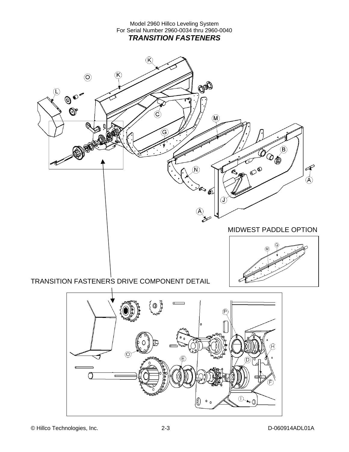Model 2960 Hillco Leveling System For Serial Number 2960-0034 thru 2960-0040 *TRANSITION FASTENERS*   $(\widehat{\mathsf{K}})$  $\circledcirc$  $(\mathsf{K})$ COO  $\bigcirc$ €  $\bm{\widehat{\varphi}}$  $\mathbb{O}^*$ τ  $\widehat{M}$  $\circledR$ **DE** Ő  $\infty$ Á N) Q,  $\left( \widehat{\mathsf{A}}\right)$ S MIDWEST PADDLE OPTIONTRANSITION FASTENERS DRIVE COMPONENT DETAIL

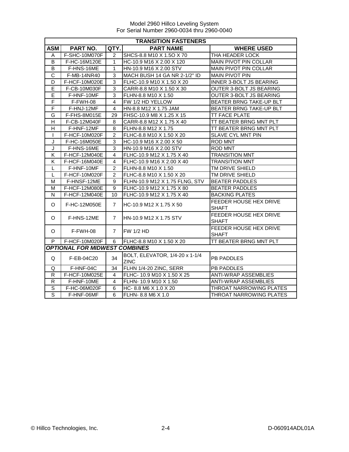|                                      | <b>TRANSITION FASTENERS</b> |                |                                               |                                               |  |  |  |
|--------------------------------------|-----------------------------|----------------|-----------------------------------------------|-----------------------------------------------|--|--|--|
| <b>ASM</b>                           | PART NO.                    | QTY.           | <b>PART NAME</b>                              | <b>WHERE USED</b>                             |  |  |  |
| A                                    | F-SHC-10M070F               | 2              | SHCS-8.8 M10 X 1.5O X 70                      | THA HEADER LOCK                               |  |  |  |
| B                                    | F-HC-16M120E                | 1              | HC-10.9 M16 X 2.00 X 120                      | <b>MAIN PIVOT PIN COLLAR</b>                  |  |  |  |
| $\overline{B}$                       | F-HNS-16ME                  | 1              | HN-10.9 M16 X 2.00 STV                        | MAIN PIVOT PIN COLLAR                         |  |  |  |
| $\overline{\text{c}}$                | F-MB-14NR40                 | 3              | MACH BUSH 14 GA NR 2-1/2" ID                  | <b>MAIN PIVOT PIN</b>                         |  |  |  |
| D                                    | F-HCF-10M020E               | 3              | FLHC-10.9 M10 X 1.50 X 20                     | INNER 3-BOLT JS BEARING                       |  |  |  |
| E                                    | F-CB-10M030F                | 3              | CARR-8.8 M10 X 1.50 X 30                      | OUTER 3-BOLT JS BEARING                       |  |  |  |
| E                                    | F-HNF-10MF                  | 3              | FLHN-8.8 M10 X 1.50                           | OUTER 3-BOLT JS BEARING                       |  |  |  |
| $\overline{F}$                       | F-FWH-08                    | 4              | FW 1/2 HD YELLOW                              | BEATER BRNG TAKE-UP BLT                       |  |  |  |
| F                                    | F-HNJ-12MF                  | 4              | HN-8.8 M12 X 1.75 JAM                         | <b>BEATER BRNG TAKE-UP BLT</b>                |  |  |  |
| G                                    | F-FHS-8M015E                | 29             | FHSC-10.9 M8 X 1.25 X 15                      | TT FACE PLATE                                 |  |  |  |
| Н                                    | F-CB-12M040F                | 8              | CARR-8.8 M12 X 1.75 X 40                      | TT BEATER BRNG MNT PLT                        |  |  |  |
| H                                    | F-HNF-12MF                  | 8              | FLHN-8.8 M12 X 1.75                           | TT BEATER BRNG MNT PLT                        |  |  |  |
| $\mathbf{I}$                         | F-HCF-10M020F               | $\mathcal{P}$  | FLHC-8.8 M10 X 1.50 X 20                      | SLAVE CYL MNT PIN                             |  |  |  |
| J                                    | F-HC-16M050E                | 3              | HC-10.9 M16 X 2.00 X 50                       | <b>ROD MNT</b>                                |  |  |  |
| J                                    | F-HNS-16ME                  | 3              | HN-10.9 M16 X 2.00 STV                        | ROD MNT                                       |  |  |  |
| Κ                                    | F-HCF-12M040E               | 4              | FLHC-10.9 M12 X 1.75 X 40                     | <b>TRANSITION MNT</b>                         |  |  |  |
| Κ                                    | F-HCF-16M040E               | $\overline{4}$ | FLHC-10.9 M16 X 2.00 X 40                     | <b>TRANSITION MNT</b>                         |  |  |  |
| L                                    | F-HNF-10MF                  | $\overline{2}$ | FLHN-8.8 M10 X 1.50                           | TM DRIVE SHIELD                               |  |  |  |
| L                                    | F-HCF-10M020F               | $\overline{2}$ | FLHC-8.8 M10 X 1.50 X 20                      | TM DRIVE SHIELD                               |  |  |  |
| м                                    | F-HNSF-12ME                 | 9              | FLHN-10.9 M12 X 1.75 FLNG, STV                | <b>BEATER PADDLES</b>                         |  |  |  |
| М                                    | <b>F-HCF-12M080E</b>        | 9              | FLHC-10.9 M12 X 1.75 X 80                     | <b>BEATER PADDLES</b>                         |  |  |  |
| N                                    | F-HCF-12M040E               | 10             | IFLHC-10.9 M12 X 1.75 X 40                    | <b>BACKING PLATES</b>                         |  |  |  |
| O                                    | F-HC-12M050E                | $\overline{7}$ | HC-10.9 M12 X 1.75 X 50                       | FEEDER HOUSE HEX DRIVE<br><b>SHAFT</b>        |  |  |  |
| O                                    | F-HNS-12ME                  | $\overline{7}$ | <b>I</b> HN-10.9 M12 X 1.75 STV               | FEEDER HOUSE HEX DRIVE<br><b>SHAFT</b>        |  |  |  |
| O                                    | F-FWH-08                    | $\overline{7}$ | <b>FW 1/2 HD</b>                              | <b>FEEDER HOUSE HEX DRIVE</b><br><b>SHAFT</b> |  |  |  |
| P                                    | F-HCF-10M020F               | 6              | FLHC-8.8 M10 X 1.50 X 20                      | TT BEATER BRNG MNT PLT                        |  |  |  |
| <b>OPTIONAL FOR MIDWEST COMBINES</b> |                             |                |                                               |                                               |  |  |  |
| Q                                    | F-EB-04C20                  | 34             | BOLT, ELEVATOR, 1/4-20 x 1-1/4<br><b>ZINC</b> | <b>PB PADDLES</b>                             |  |  |  |
| Q                                    | F-HNF-04C                   | 34             | FLHN 1/4-20 ZINC, SERR                        | <b>PB PADDLES</b>                             |  |  |  |
| R                                    | F-HCF-10M025E               | 4              | FLHC- 10.9 M10 X 1.50 X 25                    | <b>ANTI-WRAP ASSEMBLIES</b>                   |  |  |  |
| $\mathsf{R}$                         | F-HNF-10ME                  | 4              | FLHN- 10.9 M10 X 1.50                         | <b>ANTI-WRAP ASSEMBLIES</b>                   |  |  |  |
| S                                    | F-HC-06M020F                | 6              | HC-8.8 M6 X 1.0 X 20                          | THROAT NARROWING PLATES                       |  |  |  |
| S                                    | F-HNF-06MF                  | 6              | FLHN- 8.8 M6 X 1.0                            | THROAT NARROWING PLATES                       |  |  |  |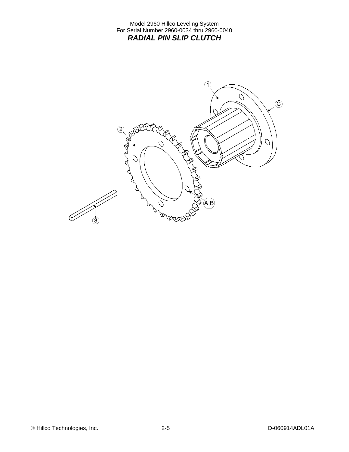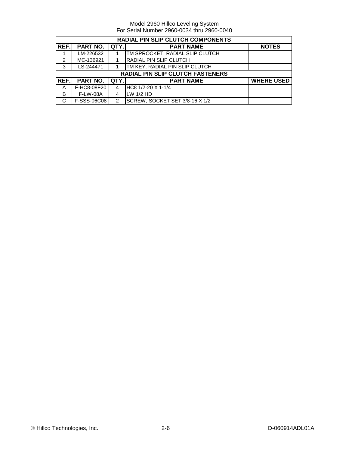|                | <b>RADIAL PIN SLIP CLUTCH COMPONENTS</b> |               |                                         |                   |  |  |  |
|----------------|------------------------------------------|---------------|-----------------------------------------|-------------------|--|--|--|
| REF.           | <b>PART NO.</b>                          | QTY.          | <b>PART NAME</b>                        | <b>NOTES</b>      |  |  |  |
|                | LM-226532                                |               | TM SPROCKET, RADIAL SLIP CLUTCH         |                   |  |  |  |
| $\mathfrak{p}$ | MC-136921                                |               | RADIAL PIN SLIP CLUTCH                  |                   |  |  |  |
| 3              | LS-244471                                |               | TM KEY, RADIAL PIN SLIP CLUTCH          |                   |  |  |  |
|                |                                          |               | <b>RADIAL PIN SLIP CLUTCH FASTENERS</b> |                   |  |  |  |
| REF.           | <b>PART NO.</b>                          | QTY.          | <b>PART NAME</b>                        | <b>WHERE USED</b> |  |  |  |
| A              | F-HC8-08F20                              | 4             | $HC8$ 1/2-20 X 1-1/4                    |                   |  |  |  |
| B              | <b>F-LW-08A</b>                          | 4             | $LW$ 1/2 HD                             |                   |  |  |  |
| C              | F-SSS-06C08                              | $\mathcal{P}$ | SCREW, SOCKET SET 3/8-16 X 1/2          |                   |  |  |  |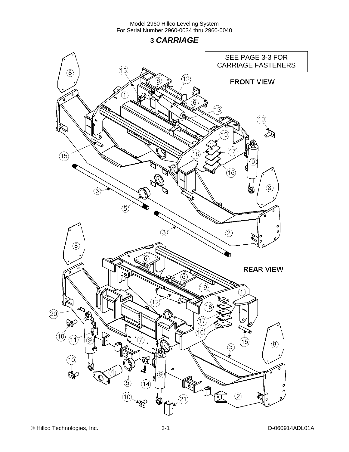**3** *CARRIAGE* 

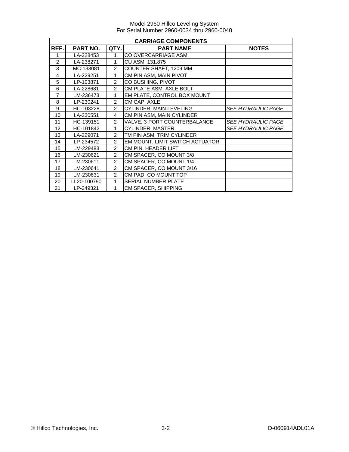|                | <b>CARRIAGE COMPONENTS</b> |                |                                 |                           |  |  |  |
|----------------|----------------------------|----------------|---------------------------------|---------------------------|--|--|--|
| REF.           | PART NO.                   | QTY.           | <b>PART NAME</b>                | <b>NOTES</b>              |  |  |  |
| 1              | LA-228453                  | 1              | CO OVERCARRIAGE ASM             |                           |  |  |  |
| 2              | LA-238271                  | 1              | CU ASM, 131.875                 |                           |  |  |  |
| 3              | MC-133081                  | 2              | COUNTER SHAFT, 1209 MM          |                           |  |  |  |
| 4              | LA-229251                  | 1              | CM PIN ASM, MAIN PIVOT          |                           |  |  |  |
| 5              | LP-103871                  | 2              | CO BUSHING, PIVOT               |                           |  |  |  |
| 6              | LA-228681                  | $\overline{2}$ | CM PLATE ASM, AXLE BOLT         |                           |  |  |  |
| $\overline{7}$ | LM-236473                  | 1              | EM PLATE, CONTROL BOX MOUNT     |                           |  |  |  |
| 8              | LP-230241                  | 2              | CM CAP, AXLE                    |                           |  |  |  |
| 9              | HC-103228                  | $\mathfrak{p}$ | CYLINDER, MAIN LEVELING         | <i>SEE HYDRAULIC PAGE</i> |  |  |  |
| 10             | LA-230551                  | 4              | CM PIN ASM, MAIN CYLINDER       |                           |  |  |  |
| 11             | HC-139151                  | $\mathfrak{p}$ | VALVE, 3-PORT COUNTERBALANCE    | <b>SEE HYDRAULIC PAGE</b> |  |  |  |
| 12             | HC-101842                  | 1              | CYLINDER, MASTER                | <b>SEE HYDRAULIC PAGE</b> |  |  |  |
| 13             | LA-229071                  | 2              | TM PIN ASM, TRIM CYLINDER       |                           |  |  |  |
| 14             | LP-234572                  | 2              | EM MOUNT, LIMIT SWITCH ACTUATOR |                           |  |  |  |
| 15             | LM-229483                  | 2              | CM PIN, HEADER LIFT             |                           |  |  |  |
| 16             | LM-230621                  | $\overline{2}$ | CM SPACER, CO MOUNT 3/8         |                           |  |  |  |
| 17             | LM-230611                  | $\overline{2}$ | CM SPACER, CO MOUNT 1/4         |                           |  |  |  |
| 18             | LM-230641                  | 2              | CM SPACER, CO MOUNT 3/16        |                           |  |  |  |
| 19             | LM-230631                  | 2              | CM PAD, CO MOUNT TOP            |                           |  |  |  |
| 20             | LL20-100790                | 1              | SERIAL NUMBER PLATE             |                           |  |  |  |
| 21             | LP-249321                  | 1              | <b>CM SPACER, SHIPPING</b>      |                           |  |  |  |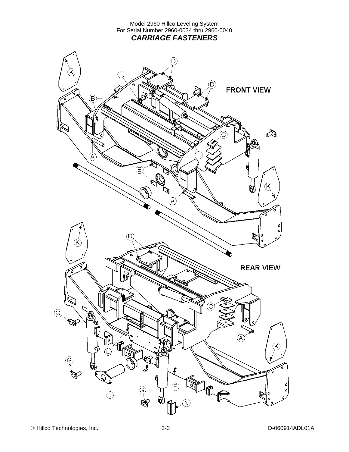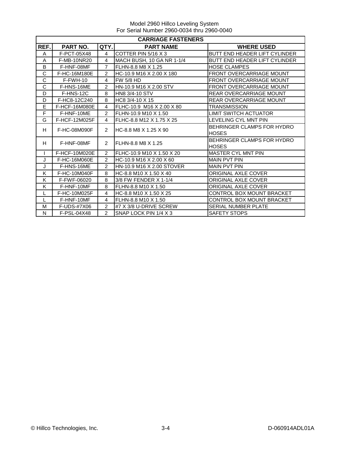|              | <b>CARRIAGE FASTENERS</b> |                |                           |                                            |  |  |  |
|--------------|---------------------------|----------------|---------------------------|--------------------------------------------|--|--|--|
| REF.         | PART NO.                  | QTY.I          | <b>PART NAME</b>          | <b>WHERE USED</b>                          |  |  |  |
| A            | F-PCT-05X48               | $\overline{4}$ | COTTER PIN 5/16 X 3       | BUTT END HEADER LIFT CYLINDER              |  |  |  |
| A            | F-MB-10NR20               | 4              | MACH BUSH, 10 GA NR 1-1/4 | BUTT END HEADER LIFT CYLINDER              |  |  |  |
| B            | F-HNF-08MF                | $\overline{7}$ | FLHN-8.8 M8 X 1.25        | <b>HOSE CLAMPES</b>                        |  |  |  |
| C            | F-HC-16M180E              | $\mathfrak{p}$ | HC-10.9 M16 X 2.00 X 180  | FRONT OVERCARRIAGE MOUNT                   |  |  |  |
| C            | $F-FWH-10$                | 4              | <b>FW 5/8 HD</b>          | <b>FRONT OVERCARRIAGE MOUNT</b>            |  |  |  |
| C            | F-HNS-16ME                | $\overline{2}$ | HN-10.9 M16 X 2.00 STV    | <b>FRONT OVERCARRIAGE MOUNT</b>            |  |  |  |
| D            | F-HNS-12C                 | 8              | <b>HN8 3/4-10 STV</b>     | <b>REAR OVERCARRIAGE MOUNT</b>             |  |  |  |
| D            | F-HC8-12C240              | 8              | HC8 3/4-10 X 15           | REAR OVERCARRIAGE MOUNT                    |  |  |  |
| E            | <b>F-HCF-16M080E</b>      | 4              | FLHC-10.9 M16 X 2.00 X 80 | TRANSMISSION                               |  |  |  |
| F            | F-HNF-10ME                | $\overline{2}$ | FLHN-10.9 M10 X 1.50      | <b>LIMIT SWITCH ACTUATOR</b>               |  |  |  |
| G            | F-HCF-12M025F             | 4              | FLHC-8.8 M12 X 1.75 X 25  | LEVELING CYL MNT PIN                       |  |  |  |
| H            | F-HC-08M090F              | $\mathcal{P}$  | IHC-8.8 M8 X 1.25 X 90    | BEHRINGER CLAMPS FOR HYDRO<br>HOSES        |  |  |  |
| H            | F-HNF-08MF                | $\mathcal{P}$  | FLHN-8.8 M8 X 1.25        | BEHRINGER CLAMPS FOR HYDRO<br><b>HOSES</b> |  |  |  |
| $\mathsf{I}$ | F-HCF-10M020E             | $\overline{2}$ | FLHC-10.9 M10 X 1.50 X 20 | <b>MASTER CYL MNT PIN</b>                  |  |  |  |
| J            | F-HC-16M060E              | $\overline{2}$ | HC-10.9 M16 X 2.00 X 60   | <b>MAIN PVT PIN</b>                        |  |  |  |
| J            | F-HNS-16ME                | $\mathcal{P}$  | HN-10.9 M16 X 2.00 STOVER | <b>MAIN PVT PIN</b>                        |  |  |  |
| K            | F-HC-10M040F              | 8              | HC-8.8 M10 X 1.50 X 40    | ORIGINAL AXLE COVER                        |  |  |  |
| K            | F-FWF-06020               | 8              | 3/8 FW FENDER X 1-1/4     | ORIGINAL AXLE COVER                        |  |  |  |
| K            | F-HNF-10MF                | 8              | FLHN-8.8 M10 X 1.50       | <b>ORIGINAL AXLE COVER</b>                 |  |  |  |
| L            | F-HC-10M025F              | 4              | HC-8.8 M10 X 1.50 X 25    | CONTROL BOX MOUNT BRACKET                  |  |  |  |
|              | F-HNF-10MF                | 4              | FLHN-8.8 M10 X 1.50       | CONTROL BOX MOUNT BRACKET                  |  |  |  |
| M            | F-UDS-#7X06               | $\overline{2}$ | #7 X 3/8 U-DRIVE SCREW    | <b>SERIAL NUMBER PLATE</b>                 |  |  |  |
| N            | F-PSL-04X48               | $\mathcal{P}$  | SNAP LOCK PIN 1/4 X 3     | <b>SAFETY STOPS</b>                        |  |  |  |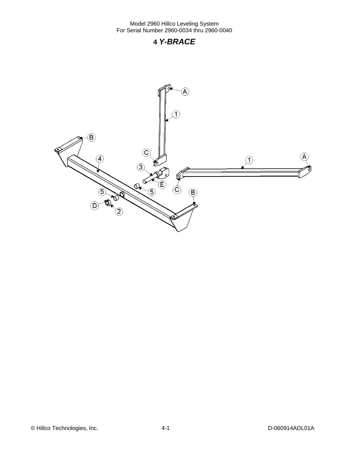### **4** *Y-BRACE*



© Hillco Technologies, Inc. 4-1 4-1 D-060914ADL01A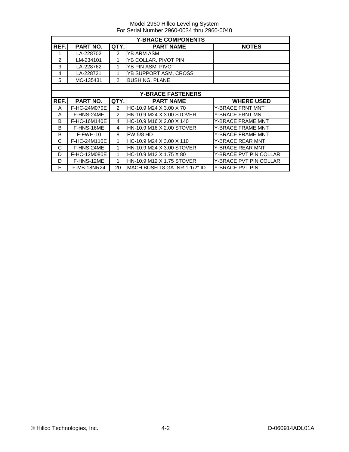|                | <b>Y-BRACE COMPONENTS</b> |                |                              |                          |  |  |  |
|----------------|---------------------------|----------------|------------------------------|--------------------------|--|--|--|
| REF.           | <b>PART NO.</b>           | QTY.           | <b>PART NAME</b>             | <b>NOTES</b>             |  |  |  |
|                | LA-228702                 | $\mathcal{P}$  | YB ARM ASM                   |                          |  |  |  |
| $\overline{2}$ | LM-234101                 | 1              | YB COLLAR, PIVOT PIN         |                          |  |  |  |
| 3              | LA-228762                 | 1              | YB PIN ASM, PIVOT            |                          |  |  |  |
| 4              | LA-228721                 | 1              | YB SUPPORT ASM, CROSS        |                          |  |  |  |
| 5              | MC-135431                 | $\overline{2}$ | <b>BUSHING, PLANE</b>        |                          |  |  |  |
|                |                           |                |                              |                          |  |  |  |
|                |                           |                | <b>Y-BRACE FASTENERS</b>     |                          |  |  |  |
| REF.           | <b>PART NO.</b>           | QTY.           | <b>PART NAME</b>             | <b>WHERE USED</b>        |  |  |  |
| A              | F-HC-24M070E              | $\mathcal{P}$  | HC-10.9 M24 X 3.00 X 70      | Y-BRACE FRNT MNT         |  |  |  |
| A              | F-HNS-24ME                | 2              | HN-10.9 M24 X 3.00 STOVER    | <b>Y-BRACE FRNT MNT</b>  |  |  |  |
| B              | F-HC-16M140E              | 4              | HC-10.9 M16 X 2.00 X 140     | <b>Y-BRACE FRAME MNT</b> |  |  |  |
| B              | F-HNS-16ME                | 4              | HN-10.9 M16 X 2.00 STOVER    | <b>Y-BRACE FRAME MNT</b> |  |  |  |
| B              | F-FWH-10                  | 8              | <b>FW 5/8 HD</b>             | <b>Y-BRACE FRAME MNT</b> |  |  |  |
| C              | F-HC-24M110E              | 1              | HC-10.9 M24 X 3.00 X 110     | <b>Y-BRACE REAR MNT</b>  |  |  |  |
| C              | F-HNS-24ME                | 1              | HN-10.9 M24 X 3.00 STOVER    | <b>Y-BRACE REAR MNT</b>  |  |  |  |
| D              | F-HC-12M080E              | 1              | HC-10.9 M12 X 1.75 X 80      | Y-BRACE PVT PIN COLLAR   |  |  |  |
| D              | F-HNS-12ME                | 1              | HN-10.9 M12 X 1.75 STOVER    | Y-BRACE PVT PIN COLLAR   |  |  |  |
| E              | F-MB-18NR24               | 20             | MACH BUSH 18 GA NR 1-1/2" ID | Y-BRACE PVT PIN          |  |  |  |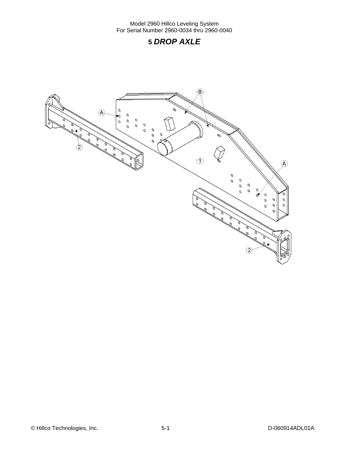### **5** *DROP AXLE*

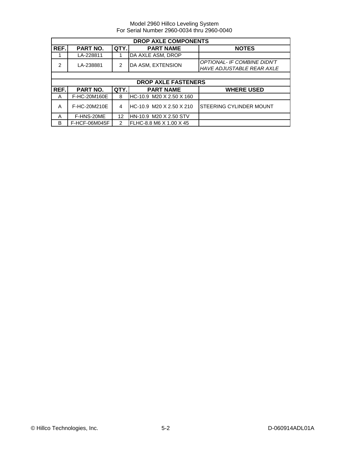|      | <b>DROP AXLE COMPONENTS</b>                          |               |                            |                                    |  |  |  |
|------|------------------------------------------------------|---------------|----------------------------|------------------------------------|--|--|--|
| REF. | PART NO.<br>QTY.<br><b>PART NAME</b><br><b>NOTES</b> |               |                            |                                    |  |  |  |
|      | LA-228811                                            |               | DA AXLE ASM, DROP          |                                    |  |  |  |
| 2    | LA-238881                                            | $\mathcal{P}$ | DA ASM, EXTENSION          | <b>OPTIONAL- IF COMBINE DIDN'T</b> |  |  |  |
|      |                                                      |               |                            | <b>HAVE ADJUSTABLE REAR AXLE</b>   |  |  |  |
|      |                                                      |               |                            |                                    |  |  |  |
|      |                                                      |               | <b>DROP AXLE FASTENERS</b> |                                    |  |  |  |
| REF. | PART NO.                                             | QTY.          | <b>PART NAME</b>           | <b>WHERE USED</b>                  |  |  |  |
| A    | F-HC-20M160E                                         | 8             | HC-10.9 M20 X 2.50 X 160   |                                    |  |  |  |
| A    | F-HC-20M210E                                         | 4             | HC-10.9 M20 X 2.50 X 210   | <b>STEERING CYLINDER MOUNT</b>     |  |  |  |
| A    | F-HNS-20ME                                           | 12            | HN-10.9 M20 X 2.50 STV     |                                    |  |  |  |
| B    | F-HCF-06M045F                                        | 2             | FLHC-8.8 M6 X 1.00 X 45    |                                    |  |  |  |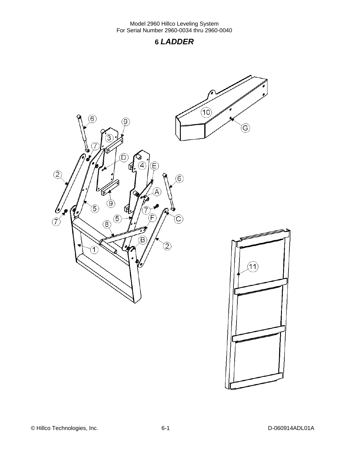### **6** *LADDER*

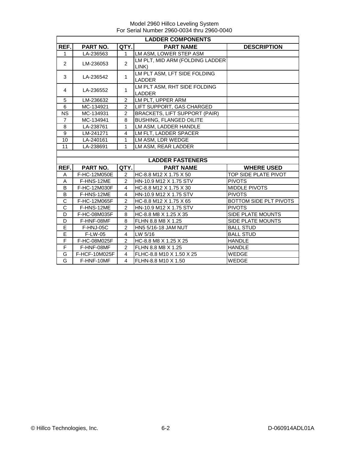|                | <b>LADDER COMPONENTS</b> |                |                                      |                        |  |  |  |  |
|----------------|--------------------------|----------------|--------------------------------------|------------------------|--|--|--|--|
| REF.           | PART NO.                 | QTY.           | <b>PART NAME</b>                     | <b>DESCRIPTION</b>     |  |  |  |  |
| $\mathbf{1}$   | LA-236563                | $\mathbf{1}$   | LM ASM, LOWER STEP ASM               |                        |  |  |  |  |
| $\overline{2}$ | LM-236053                | $\overline{2}$ | LM PLT, MID ARM (FOLDING LADDER      |                        |  |  |  |  |
|                |                          |                | LINK)                                |                        |  |  |  |  |
| 3              | LA-236542                | $\mathbf{1}$   | LM PLT ASM, LFT SIDE FOLDING         |                        |  |  |  |  |
|                |                          |                | <b>LADDER</b>                        |                        |  |  |  |  |
| 4              | LA-236552                | $\mathbf{1}$   | LM PLT ASM, RHT SIDE FOLDING         |                        |  |  |  |  |
|                |                          |                | <b>LADDER</b>                        |                        |  |  |  |  |
| 5              | LM-236632                | 2              | LM PLT, UPPER ARM                    |                        |  |  |  |  |
| 6              | MC-134921                | 2              | LIFT SUPPORT, GAS CHARGED            |                        |  |  |  |  |
| <b>NS</b>      | MC-134931                | $\overline{2}$ | <b>BRACKETS, LIFT SUPPORT (PAIR)</b> |                        |  |  |  |  |
| $\overline{7}$ | MC-134941                | 8              | <b>BUSHING, FLANGED OILITE</b>       |                        |  |  |  |  |
| 8              | LA-238761                | 1              | LM ASM. LADDER HANDLE                |                        |  |  |  |  |
| 9              | LM-241271                | $\overline{4}$ | LM FLT, LADDER SPACER                |                        |  |  |  |  |
| 10             | LA-240161                | $\mathbf{1}$   | LM ASM, LDR WEDGE                    |                        |  |  |  |  |
| 11             | LA-238691                | 1              | LM ASM, REAR LADDER                  |                        |  |  |  |  |
|                |                          |                |                                      |                        |  |  |  |  |
|                |                          |                | <b>LADDER FASTENERS</b>              |                        |  |  |  |  |
| REF.           | PART NO.                 | QTY.           | <b>PART NAME</b>                     | <b>WHERE USED</b>      |  |  |  |  |
| Α              | F-HC-12M050E             | $\overline{2}$ | HC-8.8 M12 X 1.75 X 50               | TOP SIDE PLATE PIVOT   |  |  |  |  |
| A              | F-HNS-12ME               | $\overline{c}$ | HN-10.9 M12 X 1.75 STV               | <b>PIVOTS</b>          |  |  |  |  |
| B              | F-HC-12M030F             | $\overline{4}$ | HC-8.8 M12 X 1.75 X 30               | <b>MIDDLE PIVOTS</b>   |  |  |  |  |
| B              | F-HNS-12ME               | $\overline{4}$ | HN-10.9 M12 X 1.75 STV               | <b>PIVOTS</b>          |  |  |  |  |
| $\mathsf C$    | F-HC-12M065F             | $\overline{2}$ | HC-8.8 M12 X 1.75 X 65               | BOTTOM SIDE PLT PIVOTS |  |  |  |  |
| $\mathsf{C}$   | F-HNS-12ME               | $\overline{2}$ | HN-10.9 M12 X 1.75 STV               | <b>PIVOTS</b>          |  |  |  |  |
| D              | F-HC-08M035F             | 8              | HC-8.8 M8 X 1.25 X 35                | SIDE PLATE MOUNTS      |  |  |  |  |
| D              | F-HNF-08MF               | 8              | FLHN 8.8 M8 X 1.25                   | SIDE PLATE MOUNTS      |  |  |  |  |
| E              | F-HNJ-05C                | $\overline{2}$ | HN5 5/16-18 JAM NUT                  | <b>BALL STUD</b>       |  |  |  |  |
| Ē              | F-LW-05                  | $\overline{4}$ | $LW$ 5/16                            | <b>BALL STUD</b>       |  |  |  |  |
| F              | F-HC-08M025F             | 2              | HC-8.8 M8 X 1.25 X 25                | <b>HANDLE</b>          |  |  |  |  |
| F              | F-HNF-08MF               | $\overline{2}$ | FLHN 8.8 M8 X 1.25                   | <b>HANDLE</b>          |  |  |  |  |
| G              | F-HCF-10M025F            | 4              | FLHC-8.8 M10 X 1.50 X 25             | <b>WEDGE</b>           |  |  |  |  |
| G              | F-HNF-10MF               | 4              | FLHN-8.8 M10 X 1.50                  | WEDGE                  |  |  |  |  |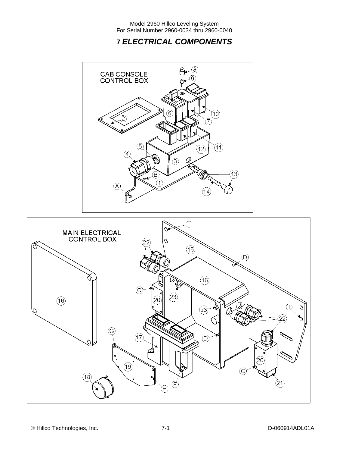### **7** *ELECTRICAL COMPONENTS*



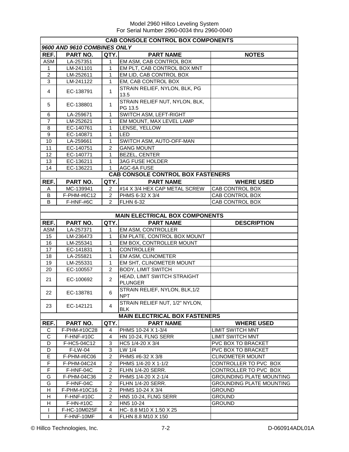|                  | <b>CAB CONSOLE CONTROL BOX COMPONENTS</b> |                |                                               |                                 |  |  |  |  |
|------------------|-------------------------------------------|----------------|-----------------------------------------------|---------------------------------|--|--|--|--|
|                  | 9600 AND 9610 COMBINES ONLY               |                |                                               |                                 |  |  |  |  |
| REF.             | PART NO.                                  | QTY.           | <b>PART NAME</b>                              | <b>NOTES</b>                    |  |  |  |  |
| <b>ASM</b>       | LA-257351                                 | 1              | EM ASM, CAB CONTROL BOX                       |                                 |  |  |  |  |
| $\mathbf{1}$     | LM-241101                                 | $\mathbf{1}$   | EM PLT, CAB CONTROL BOX MNT                   |                                 |  |  |  |  |
| $\overline{2}$   | LM-252611                                 | 1              | EM LID, CAB CONTROL BOX                       |                                 |  |  |  |  |
| 3                | LM-241122                                 | $\mathbf{1}$   | EM, CAB CONTROL BOX                           |                                 |  |  |  |  |
| 4                | EC-138791                                 | $\mathbf{1}$   | STRAIN RELIEF, NYLON, BLK, PG<br>13.5         |                                 |  |  |  |  |
| 5                | EC-138801                                 | $\mathbf{1}$   | STRAIN RELIEF NUT, NYLON, BLK,<br>PG 13.5     |                                 |  |  |  |  |
| 6                | LA-259671                                 | $\mathbf{1}$   | SWITCH ASM, LEFT-RIGHT                        |                                 |  |  |  |  |
| $\overline{7}$   | LM-252621                                 | $\mathbf{1}$   | EM MOUNT, MAX LEVEL LAMP                      |                                 |  |  |  |  |
| $\,8\,$          | EC-140761                                 | 1              | LENSE, YELLOW                                 |                                 |  |  |  |  |
| $\boldsymbol{9}$ | EC-140871                                 | 1              | <b>LED</b>                                    |                                 |  |  |  |  |
| 10               | LA-259661                                 | $\mathbf{1}$   | SWITCH ASM, AUTO-OFF-MAN                      |                                 |  |  |  |  |
| 11               | EC-140751                                 | $\overline{2}$ | <b>GANG MOUNT</b>                             |                                 |  |  |  |  |
| 12               | EC-140771                                 | 1              | <b>BEZEL, CENTER</b>                          |                                 |  |  |  |  |
| 13               | EC-136211                                 | 1              | <b>3AG FUSE HOLDER</b>                        |                                 |  |  |  |  |
| 14               | EC-136221                                 | 1              | AGC-6A FUSE                                   |                                 |  |  |  |  |
|                  |                                           |                | <b>CAB CONSOLE CONTROL BOX FASTENERS</b>      |                                 |  |  |  |  |
| REF.             | PART NO.                                  | QTY.           | <b>PART NAME</b>                              | <b>WHERE USED</b>               |  |  |  |  |
| Α                | MC-139941                                 | 2              | #14 X 3/4 HEX CAP METAL SCREW                 | CAB CONTROL BOX                 |  |  |  |  |
| В                | F-PHM-#6C12                               | $\overline{2}$ | PHMS 6-32 X 3/4                               | CAB CONTROL BOX                 |  |  |  |  |
| B                | F-HNF-#6C                                 | $\mathfrak{p}$ | <b>FLHN 6-32</b>                              | CAB CONTROL BOX                 |  |  |  |  |
|                  |                                           |                |                                               |                                 |  |  |  |  |
|                  |                                           |                | <b>MAIN ELECTRICAL BOX COMPONENTS</b>         |                                 |  |  |  |  |
| REF.             | PART NO.                                  | QTY.           | <b>PART NAME</b>                              | <b>DESCRIPTION</b>              |  |  |  |  |
| <b>ASM</b>       | LA-257371                                 | 1              | EM ASM, CONTROLLER                            |                                 |  |  |  |  |
| 15               | LM-236473                                 | 1              | EM PLATE, CONTROL BOX MOUNT                   |                                 |  |  |  |  |
| 16               | LM-255341                                 | 1              | EM BOX, CONTROLLER MOUNT                      |                                 |  |  |  |  |
| 17               | EC-141831                                 | 1              | <b>CONTROLLER</b>                             |                                 |  |  |  |  |
| 18               | LA-255821                                 | $\mathbf{1}$   | EM ASM, CLINOMETER                            |                                 |  |  |  |  |
| 19               | LM-255331                                 | $\mathbf{1}$   | EM SHT, CLINOMETER MOUNT                      |                                 |  |  |  |  |
| 20               | EC-100557                                 | $\overline{2}$ | <b>BODY, LIMIT SWITCH</b>                     |                                 |  |  |  |  |
| 21               | EC-100692                                 | $\overline{2}$ | HEAD, LIMIT SWITCH STRAIGHT<br><b>PLUNGER</b> |                                 |  |  |  |  |
| 22               | EC-138781                                 | 6              | STRAIN RELIEF, NYLON, BLK, 1/2<br><b>NPT</b>  |                                 |  |  |  |  |
| 23               | EC-142121                                 | 4              | STRAIN RELIEF NUT, 1/2" NYLON,<br><b>BLK</b>  |                                 |  |  |  |  |
|                  |                                           |                | <b>MAIN ELECTRICAL BOX FASTENERS</b>          |                                 |  |  |  |  |
| REF.             | PART NO.                                  | QTY.           | <b>PART NAME</b>                              | <b>WHERE USED</b>               |  |  |  |  |
|                  |                                           |                |                                               |                                 |  |  |  |  |
| С                | F-PHM-#10C28                              | $\overline{4}$ | PHMS 10-24 X 1-3/4                            | <b>LIMIT SWITCH MNT</b>         |  |  |  |  |
| $\mathsf C$      | F-HNF-#10C                                | $\overline{4}$ | HN 10-24, FLNG SERR                           | <b>LIMIT SWITCH MNT</b>         |  |  |  |  |
| D                | F-HC5-04C12                               | 3              | HC5 1/4-20 X 3/4                              | PVC BOX TO BRACKET              |  |  |  |  |
| D                | F-LW-04                                   | 3              | LW 1/4                                        | <b>PVC BOX TO BRACKET</b>       |  |  |  |  |
| E                | F-PHM-#6C06                               | $\overline{c}$ | PHMS #6-32 X 3/8                              | <b>CLINOMETER MOUNT</b>         |  |  |  |  |
| $\overline{F}$   | F-PHM-04C24                               | $\overline{c}$ | PHMS 1/4-20 X 1-1/2                           | CONTROLLER TO PVC BOX           |  |  |  |  |
| $\overline{F}$   | F-HNF-04C                                 | $\overline{c}$ | <b>FLHN 1/4-20 SERR.</b>                      | CONTROLLER TO PVC BOX           |  |  |  |  |
| G                | F-PHM-04C36                               | $\overline{c}$ | PHMS 1/4-20 X 2-1/4                           | <b>GROUNDING PLATE MOUNTING</b> |  |  |  |  |
| G                | F-HNF-04C                                 | $\overline{2}$ | <b>FLHN 1/4-20 SERR.</b>                      | <b>GROUNDING PLATE MOUNTING</b> |  |  |  |  |
| H                | F-PHM-#10C16                              | $\overline{2}$ | PHMS 10-24 X 3/4                              | <b>GROUND</b>                   |  |  |  |  |
| H                | <b>F-HNF-#10C</b>                         | $\overline{2}$ | <b>HN5 10-24, FLNG SERR</b>                   | <b>GROUND</b>                   |  |  |  |  |
| н                | F-HN-#10C                                 | $\overline{c}$ | HN5 10-24                                     | <b>GROUND</b>                   |  |  |  |  |
|                  | F-HC-10M025F                              | 4              | HC-8.8 M10 X 1.50 X 25                        |                                 |  |  |  |  |
| $\mathbf{I}$     | F-HNF-10MF                                | $\overline{4}$ | FLHN 8.8 M10 X 150                            |                                 |  |  |  |  |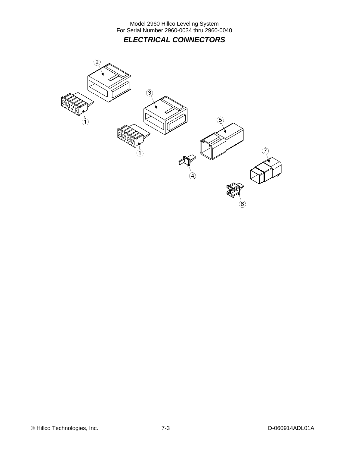Model 2960 Hillco Leveling System For Serial Number 2960-0034 thru 2960-0040 *ELECTRICAL CONNECTORS* 

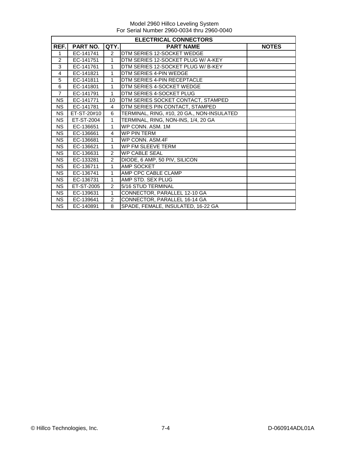|                | <b>ELECTRICAL CONNECTORS</b> |                |                                            |              |  |  |
|----------------|------------------------------|----------------|--------------------------------------------|--------------|--|--|
| REF.           | PART NO.                     | QTY.           | <b>PART NAME</b>                           | <b>NOTES</b> |  |  |
| 1              | EC-141741                    | $\overline{2}$ | DTM SERIES 12-SOCKET WEDGE                 |              |  |  |
| 2              | EC-141751                    | $\mathbf{1}$   | DTM SERIES 12-SOCKET PLUG W/ A-KEY         |              |  |  |
| 3              | EC-141761                    | 1              | DTM SERIES 12-SOCKET PLUG W/ B-KEY         |              |  |  |
| 4              | EC-141821                    | 1              | DTM SERIES 4-PIN WEDGE                     |              |  |  |
| 5              | EC-141811                    | 1              | DTM SERIES 4-PIN RECEPTACLE                |              |  |  |
| 6              | EC-141801                    | 1              | DTM SERIES 4-SOCKET WEDGE                  |              |  |  |
| $\overline{7}$ | EC-141791                    | $\mathbf{1}$   | DTM SERIES 4-SOCKET PLUG                   |              |  |  |
| <b>NS</b>      | EC-141771                    | 10             | DTM SERIES SOCKET CONTACT, STAMPED         |              |  |  |
| <b>NS</b>      | EC-141781                    | 4              | DTM SERIES PIN CONTACT, STAMPED            |              |  |  |
| <b>NS</b>      | ET-ST-20#10                  | 6              | TERMINAL, RING, #10, 20 GA., NON-INSULATED |              |  |  |
| <b>NS</b>      | ET-ST-2004                   | $\mathbf{1}$   | TERMINAL, RING, NON-INS, 1/4, 20 GA        |              |  |  |
| <b>NS</b>      | EC-136651                    | $\mathbf{1}$   | WP CONN. ASM. 1M                           |              |  |  |
| <b>NS</b>      | EC-136661                    | $\overline{4}$ | <b>WP PIN TERM</b>                         |              |  |  |
| <b>NS</b>      | EC-136681                    | $\mathbf{1}$   | WP CONN, ASM.4F                            |              |  |  |
| <b>NS</b>      | EC-136621                    | $\mathbf 1$    | WP FM SLEEVE TERM                          |              |  |  |
| <b>NS</b>      | EC-136631                    | 2              | <b>WP CABLE SEAL</b>                       |              |  |  |
| <b>NS</b>      | EC-133281                    | 2              | DIODE, 6 AMP, 50 PIV, SILICON              |              |  |  |
| <b>NS</b>      | EC-136711                    | $\mathbf{1}$   | AMP SOCKET                                 |              |  |  |
| <b>NS</b>      | EC-136741                    | $\mathbf{1}$   | AMP CPC CABLE CLAMP                        |              |  |  |
| <b>NS</b>      | EC-136731                    | 1              | AMP STD. SEX PLUG                          |              |  |  |
| <b>NS</b>      | ET-ST-2005                   | 2              | 5/16 STUD TERMINAL                         |              |  |  |
| <b>NS</b>      | EC-139631                    | 1              | CONNECTOR, PARALLEL 12-10 GA               |              |  |  |
| <b>NS</b>      | EC-139641                    | 2              | CONNECTOR, PARALLEL 16-14 GA               |              |  |  |
| <b>NS</b>      | EC-140891                    | 8              | SPADE, FEMALE, INSULATED, 16-22 GA         |              |  |  |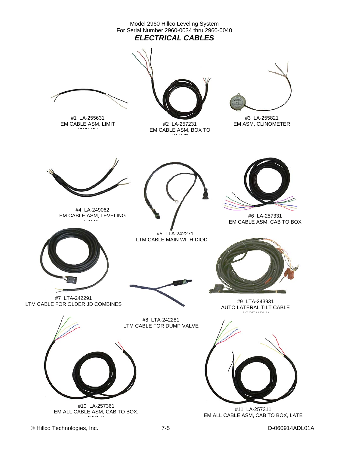

© Hillco Technologies, Inc. 7-5 D-060914ADL01A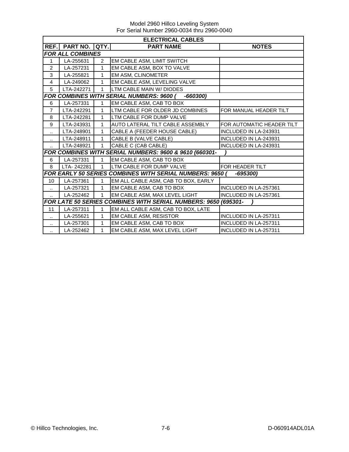Model 2960 Hillco Leveling System For Serial Number 2960-0034 thru 2960-0040

|                      | <b>ELECTRICAL CABLES</b> |              |                                                                 |                              |  |  |  |  |
|----------------------|--------------------------|--------------|-----------------------------------------------------------------|------------------------------|--|--|--|--|
| REF.I                | PART NO.                 | QTY.         | <b>PART NAME</b>                                                | <b>NOTES</b>                 |  |  |  |  |
|                      | <b>FOR ALL COMBINES</b>  |              |                                                                 |                              |  |  |  |  |
| 1                    | LA-255631                | 2            | EM CABLE ASM, LIMIT SWITCH                                      |                              |  |  |  |  |
| 2                    | LA-257231                | 1            | EM CABLE ASM, BOX TO VALVE                                      |                              |  |  |  |  |
| 3                    | LA-255821                | 1            | EM ASM, CLINOMETER                                              |                              |  |  |  |  |
| $\overline{4}$       | LA-249062                | 1            | EM CABLE ASM, LEVELING VALVE                                    |                              |  |  |  |  |
| 5                    | LTA-242271               | 1            | LTM CABLE MAIN W/ DIODES                                        |                              |  |  |  |  |
|                      |                          |              | <b>FOR COMBINES WITH SERIAL NUMBERS: 9600 (</b><br>$-660300$    |                              |  |  |  |  |
| 6                    | LA-257331                | 1            | EM CABLE ASM, CAB TO BOX                                        |                              |  |  |  |  |
| $\overline{7}$       | LTA-242291               | 1            | LTM CABLE FOR OLDER JD COMBINES                                 | FOR MANUAL HEADER TILT       |  |  |  |  |
| 8                    | LTA-242281               | 1            | LTM CABLE FOR DUMP VALVE                                        |                              |  |  |  |  |
| 9                    | LTA-243931               | 1            | AUTO LATERAL TILT CABLE ASSEMBLY                                | FOR AUTOMATIC HEADER TILT    |  |  |  |  |
|                      | LTA-248901               | 1            | CABLE A (FEEDER HOUSE CABLE)                                    | INCLUDED IN LA-243931        |  |  |  |  |
| $\ldots$             | LTA-248911               | 1            | CABLE B (VALVE CABLE)                                           | <b>INCLUDED IN LA-243931</b> |  |  |  |  |
|                      | LTA-248921               | 1            | CABLE C (CAB CABLE)                                             | INCLUDED IN LA-243931        |  |  |  |  |
|                      |                          |              | FOR COMBINES WITH SERIAL NUMBERS: 9600 & 9610 (660301-          |                              |  |  |  |  |
| 6                    | LA-257331                | 1            | EM CABLE ASM, CAB TO BOX                                        |                              |  |  |  |  |
| 8                    | LTA-242281               | $\mathbf{1}$ | LTM CABLE FOR DUMP VALVE                                        | FOR HEADER TILT              |  |  |  |  |
|                      |                          |              | <b>FOR EARLY 50 SERIES COMBINES WITH SERIAL NUMBERS: 9650 (</b> | -695300)                     |  |  |  |  |
| 10                   | LA-257361                | 1            | EM ALL CABLE ASM, CAB TO BOX, EARLY                             |                              |  |  |  |  |
|                      | LA-257321                | $\mathbf{1}$ | EM CABLE ASM, CAB TO BOX                                        | INCLUDED IN LA-257361        |  |  |  |  |
|                      | LA-252462                | 1            | EM CABLE ASM, MAX LEVEL LIGHT                                   | INCLUDED IN LA-257361        |  |  |  |  |
|                      |                          |              | FOR LATE 50 SERIES COMBINES WITH SERIAL NUMBERS: 9650 (695301-  |                              |  |  |  |  |
| 11                   | LA-257311                | 1            | EM ALL CABLE ASM, CAB TO BOX, LATE                              |                              |  |  |  |  |
| $\ldots$             | LA-255621                | 1            | EM CABLE ASM, RESISTOR                                          | INCLUDED IN LA-257311        |  |  |  |  |
| $\ddot{\phantom{1}}$ | LA-257301                | 1            | EM CABLE ASM, CAB TO BOX                                        | <b>INCLUDED IN LA-257311</b> |  |  |  |  |
|                      | LA-252462                | 1            | EM CABLE ASM, MAX LEVEL LIGHT                                   | INCLUDED IN LA-257311        |  |  |  |  |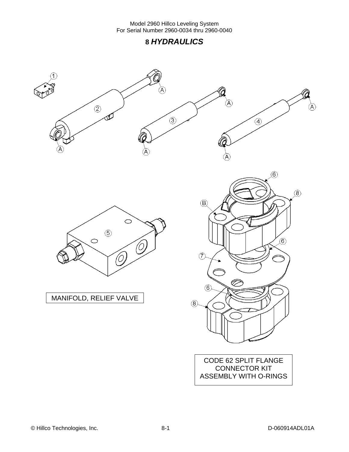### **8** *HYDRAULICS*

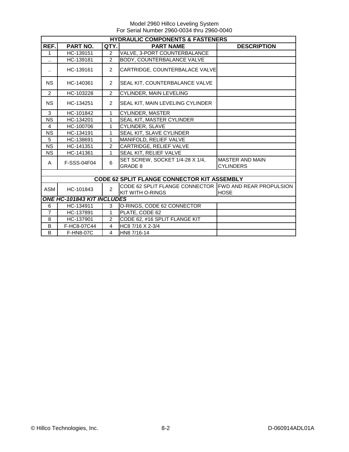|                      | <b>HYDRAULIC COMPONENTS &amp; FASTENERS</b> |                |                                                                                   |                                            |  |
|----------------------|---------------------------------------------|----------------|-----------------------------------------------------------------------------------|--------------------------------------------|--|
| REF.                 | PART NO.                                    | QTY.           | <b>PART NAME</b>                                                                  | <b>DESCRIPTION</b>                         |  |
| $\mathbf{1}$         | HC-139151                                   | $\overline{2}$ | VALVE, 3-PORT COUNTERBALANCE                                                      |                                            |  |
| $\ddot{\phantom{a}}$ | HC-139181                                   | $\overline{2}$ | BODY, COUNTERBALANCE VALVE                                                        |                                            |  |
| $\ddot{\phantom{a}}$ | HC-139161                                   | $\overline{2}$ | CARTRIDGE, COUNTERBALACE VALVE                                                    |                                            |  |
| <b>NS</b>            | HC-140361                                   | $\overline{2}$ | SEAL KIT, COUNTERBALANCE VALVE                                                    |                                            |  |
| 2                    | HC-103228                                   | $\overline{2}$ | CYLINDER, MAIN LEVELING                                                           |                                            |  |
| <b>NS</b>            | HC-134251                                   | $\overline{2}$ | SEAL KIT, MAIN LEVELING CYLINDER                                                  |                                            |  |
| 3                    | HC-101842                                   | 1              | CYLINDER, MASTER                                                                  |                                            |  |
| <b>NS</b>            | HC-134201                                   | 1              | SEAL KIT, MASTER CYLINDER                                                         |                                            |  |
| $\overline{4}$       | HC-100706                                   | 1              | CYLINDER, SLAVE                                                                   |                                            |  |
| <b>NS</b>            | HC-134191                                   | 1              | SEAL KIT, SLAVE CYLINDER                                                          |                                            |  |
| 5                    | HC-138691                                   | 1              | MANIFOLD, RELIEF VALVE                                                            |                                            |  |
| <b>NS</b>            | HC-141351                                   | $\overline{2}$ | CARTRIDGE, RELIEF VALVE                                                           |                                            |  |
| <b>NS</b>            | HC-141361                                   | 1              | SEAL KIT, RELIEF VALVE                                                            |                                            |  |
| A                    | F-SSS-04F04                                 | 6              | SET SCREW, SOCKET 1/4-28 X 1/4,<br><b>GRADE 8</b>                                 | <b>MASTER AND MAIN</b><br><b>CYLINDERS</b> |  |
|                      |                                             |                |                                                                                   |                                            |  |
|                      |                                             |                | <b>CODE 62 SPLIT FLANGE CONNECTOR KIT ASSEMBLY</b>                                |                                            |  |
| <b>ASM</b>           | HC-101843                                   | $\overline{2}$ | CODE 62 SPLIT FLANGE CONNECTOR FWD AND REAR PROPULSION<br><b>KIT WITH O-RINGS</b> | <b>HOSE</b>                                |  |
|                      | <b>ONE HC-101843 KIT INCLUDES</b>           |                |                                                                                   |                                            |  |
| 6                    | HC-134911                                   | 3              | O-RINGS, CODE 62 CONNECTOR                                                        |                                            |  |
| $\overline{7}$       | HC-137891                                   | 1              | PLATE, CODE 62                                                                    |                                            |  |
| 8                    | HC-137901                                   | $\mathcal{P}$  | CODE 62, #16 SPLIT FLANGE KIT                                                     |                                            |  |
| B                    | F-HC8-07C44                                 | $\overline{4}$ | HC8 7/16 X 2-3/4                                                                  |                                            |  |
| B                    | F-HN8-07C                                   | $\overline{4}$ | HN8 7/16-14                                                                       |                                            |  |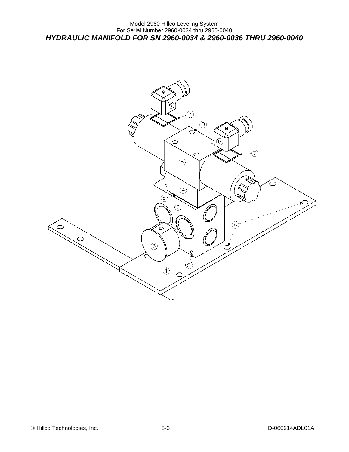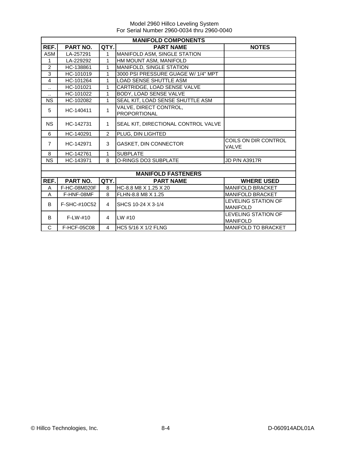|                      | <b>MANIFOLD COMPONENTS</b> |                |                                               |                                      |  |  |
|----------------------|----------------------------|----------------|-----------------------------------------------|--------------------------------------|--|--|
| REF.                 | <b>PART NO.</b>            | QTY.           | <b>PART NAME</b>                              | <b>NOTES</b>                         |  |  |
| <b>ASM</b>           | LA-257291                  | 1              | MANIFOLD ASM, SINGLE STATION                  |                                      |  |  |
| $\mathbf{1}$         | LA-229292                  | $\mathbf{1}$   | HM MOUNT ASM, MANIFOLD                        |                                      |  |  |
| 2                    | HC-138861                  | 1              | MANIFOLD, SINGLE STATION                      |                                      |  |  |
| 3                    | HC-101019                  | $\mathbf{1}$   | 3000 PSI PRESSURE GUAGE W/ 1/4" MPT           |                                      |  |  |
| $\overline{4}$       | HC-101264                  | 1              | <b>LOAD SENSE SHUTTLE ASM</b>                 |                                      |  |  |
| $\ddotsc$            | HC-101021                  | 1              | CARTRIDGE, LOAD SENSE VALVE                   |                                      |  |  |
| $\ddot{\phantom{1}}$ | HC-101022                  | 1              | BODY, LOAD SENSE VALVE                        |                                      |  |  |
| <b>NS</b>            | HC-102082                  | 1              | SEAL KIT, LOAD SENSE SHUTTLE ASM              |                                      |  |  |
| 5                    | HC-140411                  | 1              | VALVE, DIRECT CONTROL,<br><b>PROPORTIONAL</b> |                                      |  |  |
| <b>NS</b>            | HC-142731                  | $\mathbf{1}$   | SEAL KIT, DIRECTIONAL CONTROL VALVE           |                                      |  |  |
| 6                    | HC-140291                  | $\overline{2}$ | PLUG, DIN LIGHTED                             |                                      |  |  |
| $\overline{7}$       | HC-142971                  | 3              | GASKET, DIN CONNECTOR                         | COILS ON DIR CONTROL<br><b>VALVE</b> |  |  |
| 8                    | HC-142761                  | 1              | <b>SUBPLATE</b>                               |                                      |  |  |
| <b>NS</b>            | HC-143971                  | 8              | O-RINGS DO3 SUBPLATE                          | <b>JD P/N A3917R</b>                 |  |  |
|                      |                            |                |                                               |                                      |  |  |
|                      |                            |                | <b>MANIFOLD FASTENERS</b>                     |                                      |  |  |
| REF.                 | PART NO.                   | QTY.           | <b>PART NAME</b>                              | <b>WHERE USED</b>                    |  |  |
| A                    | F-HC-08M020F               | 8              | HC-8.8 M8 X 1.25 X 20                         | <b>MANIFOLD BRACKET</b>              |  |  |
| A                    | F-HNF-08MF                 | 8              | FLHN-8.8 M8 X 1.25                            | <b>MANIFOLD BRACKET</b>              |  |  |
| B                    | F-SHC-#10C52               | $\overline{4}$ | SHCS 10-24 X 3-1/4                            | <b>LEVELING STATION OF</b>           |  |  |
|                      |                            |                |                                               | <b>MANIFOLD</b>                      |  |  |
| B                    | $F-I W-#10$                | $\overline{4}$ | $LW$ #10                                      | LEVELING STATION OF                  |  |  |
|                      |                            |                |                                               | <b>MANIFOLD</b>                      |  |  |
| C                    | F-HCF-05C08                | 4              | HC5 5/16 X 1/2 FLNG                           | <b>MANIFOLD TO BRACKET</b>           |  |  |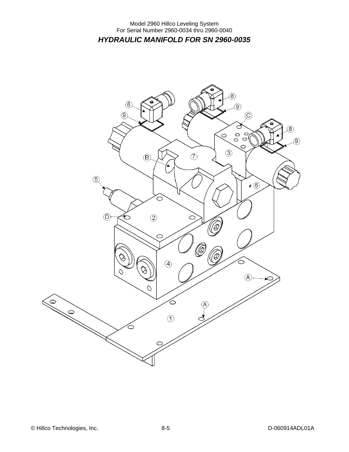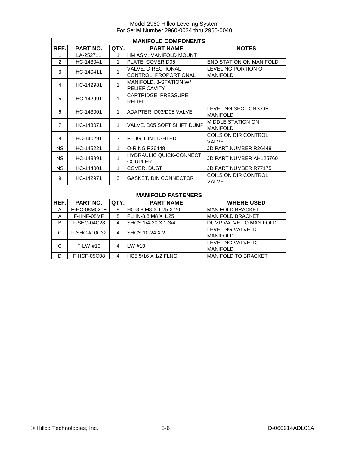|                |              |                | <b>MANIFOLD COMPONENTS</b>     |                              |
|----------------|--------------|----------------|--------------------------------|------------------------------|
| REF.           | PART NO.     | QTY.           | <b>PART NAME</b>               | <b>NOTES</b>                 |
| 1              | LA-252711    | 1              | HM ASM, MANIFOLD MOUNT         |                              |
| $\overline{2}$ | HC-143041    | $\mathbf{1}$   | PLATE, COVER D05               | END STATION ON MANIFOLD      |
| 3              | HC-140411    | 1              | VALVE, DIRECTIONAL             | LEVELING PORTION OF          |
|                |              |                | CONTROL, PROPORTIONAL          | <b>MANIFOLD</b>              |
| 4              | HC-142981    | 1              | MANIFOLD, 3-STATION W/         |                              |
|                |              |                | <b>RELIEF CAVITY</b>           |                              |
| 5              | HC-142991    | 1              | CARTRIDGE, PRESSURE            |                              |
|                |              |                | <b>RELIEF</b>                  |                              |
| 6              | HC-143001    | 1              | ADAPTER, D03/D05 VALVE         | LEVELING SECTIONS OF         |
|                |              |                |                                | <b>MANIFOLD</b>              |
| $\overline{7}$ | HC-143071    | $\mathbf{1}$   | VALVE, D05 SOFT SHIFT DUMP     | <b>MIDDLE STATION ON</b>     |
|                |              |                |                                | <b>MANIFOLD</b>              |
| 8              | HC-140291    | 3              | PLUG, DIN LIGHTED              | COILS ON DIR CONTROL         |
|                |              |                |                                | VALVE                        |
| <b>NS</b>      | HC-145221    | 1              | O-RING R26448                  | JD PART NUMBER R26448        |
| <b>NS</b>      | HC-143991    | 1              | <b>HYDRAULIC QUICK-CONNECT</b> | JD PART NUMBER AH125760      |
|                |              |                | <b>COUPLER</b>                 |                              |
| <b>NS</b>      | HC-144001    | 1              | COVER, DUST                    | <b>JD PART NUMBER R77175</b> |
| 9              | HC-142971    | 3              | GASKET, DIN CONNECTOR          | COILS ON DIR CONTROL         |
|                |              |                |                                | VALVE                        |
|                |              |                |                                |                              |
|                |              |                | <b>MANIFOLD FASTENERS</b>      |                              |
| REF.           | PART NO.     | QTY.           | <b>PART NAME</b>               | <b>WHERE USED</b>            |
| A              | F-HC-08M020F | 8              | HC-8.8 M8 X 1.25 X 20          | <b>MANIFOLD BRACKET</b>      |
| Α              | F-HNF-08MF   | 8              | FLHN-8.8 M8 X 1.25             | <b>MANIFOLD BRACKET</b>      |
| B              | F-SHC-04C28  | $\overline{4}$ | SHCS 1/4-20 X 1-3/4            | DUMP VALVE TO MANIFOLD       |
| C              | F-SHC-#10C32 | $\overline{4}$ | SHCS 10-24 X 2                 | LEVELING VALVE TO            |
|                |              |                |                                | <b>MANIFOLD</b>              |
| C              | $F-LW-#10$   | 4              | LW #10                         | LEVELING VALVE TO            |
|                |              |                |                                | <b>MANIFOLD</b>              |
| D              | F-HCF-05C08  | $\overline{4}$ | <b>HC5 5/16 X 1/2 FLNG</b>     | <b>MANIFOLD TO BRACKET</b>   |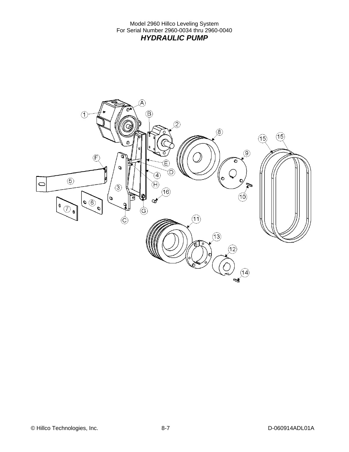Model 2960 Hillco Leveling System For Serial Number 2960-0034 thru 2960-0040 *HYDRAULIC PUMP* 

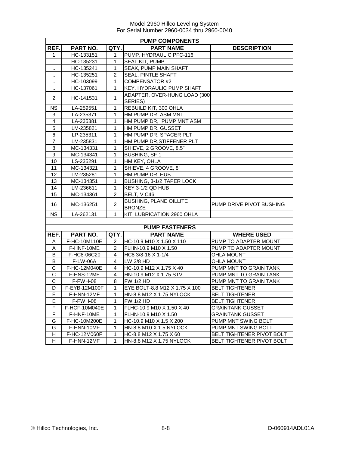|                  | <b>PUMP COMPONENTS</b> |                |                               |                           |  |
|------------------|------------------------|----------------|-------------------------------|---------------------------|--|
| REF.             | <b>PART NO.</b>        | QTY.           | <b>PART NAME</b>              | <b>DESCRIPTION</b>        |  |
| 1                | HC-133151              | 1              | PUMP, HYDRAULIC PFC-116       |                           |  |
| $\cdot$ .        | HC-135231              | 1              | SEAL KIT, PUMP                |                           |  |
| $\cdot$ .        | HC-135241              | 1              | SEAK, PUMP MAIN SHAFT         |                           |  |
|                  | HC-135251              | 2              | <b>SEAL, PINTLE SHAFT</b>     |                           |  |
| ٠.               | HC-103099              | 1              | <b>COMPENSATOR #2</b>         |                           |  |
|                  | HC-137061              | 1              | KEY, HYDRAULIC PUMP SHAFT     |                           |  |
|                  |                        |                | ADAPTER, OVER-HUNG LOAD (300  |                           |  |
| 2                | HC-141531              | 1              | SERIES)                       |                           |  |
| <b>NS</b>        | LA-259551              | $\mathbf{1}$   | REBUILD KIT, 300 OHLA         |                           |  |
| 3                | LA-235371              | 1              | HM PUMP DR, ASM MNT           |                           |  |
| 4                | LA-235381              | 1              | HM PUMP DR, PUMP MNT ASM      |                           |  |
| 5                | LM-235821              | 1              | HM PUMP DR, GUSSET            |                           |  |
| 6                | LP-235311              | 1              | HM PUMP DR, SPACER PLT        |                           |  |
| $\overline{7}$   | LM-235831              | 1              | HM PUMP DR, STIFFENER PLT     |                           |  |
| 8                | MC-134331              | 1              | SHIEVE, 2 GROOVE, 8.5"        |                           |  |
| $\boldsymbol{9}$ | MC-134341              | 1              | <b>BUSHING, SF1</b>           |                           |  |
| 10               | LS-235291              | 1              | HM KEY, OHLA                  |                           |  |
| 11               | MC-134321              | 1              | SHIEVE, 4 GROOVE, 8"          |                           |  |
| 12               | LM-235281              | 1              | HM PUMP DR, HUB               |                           |  |
| 13               | MC-134351              | 1              | BUSHING, 3-1/2 TAPER LOCK     |                           |  |
| 14               | LM-236611              | 1              | KEY 3-1/2 QD HUB              |                           |  |
| 15               | MC-134361              | $\overline{2}$ | BELT, V C46                   |                           |  |
| 16               | MC-136251              | $\overline{c}$ | <b>BUSHING, PLANE OILLITE</b> | PUMP DRIVE PIVOT BUSHING  |  |
|                  |                        |                | <b>BRONZE</b>                 |                           |  |
| <b>NS</b>        | LA-262131              | 1              | KIT, LUBRICATION 2960 OHLA    |                           |  |
|                  |                        |                |                               |                           |  |
|                  |                        |                | <b>PUMP FASTENERS</b>         |                           |  |
| REF.             | PART NO.               | QTY.           | <b>PART NAME</b>              | <b>WHERE USED</b>         |  |
| Α                | F-HC-10M110E           | 2              | HC-10.9 M10 X 1.50 X 110      | PUMP TO ADAPTER MOUNT     |  |
| Α                | F-HNF-10ME             | $\overline{2}$ | FLHN-10.9 M10 X 1.50          | PUMP TO ADAPTER MOUNT     |  |
| B                | F-HC8-06C20            | 4              | HC8 3/8-16 X 1-1/4            | <b>OHLA MOUNT</b>         |  |
| B                | <b>F-LW-06A</b>        | 4              | LW 3/8 HD                     | <b>OHLA MOUNT</b>         |  |
| $\mathsf C$      | F-HC-12M040E           | 4              | HC-10.9 M12 X 1.75 X 40       | PUMP MNT TO GRAIN TANK    |  |
| С                | F-HNS-12ME             | 4              | HN-10.9 M12 X 1.75 STV        | PUMP MNT TO GRAIN TANK    |  |
| C                | F-FWH-08               | 8              | FW 1/2 HD                     | PUMP MNT TO GRAIN TANK    |  |
| D                | F-EYB-12M100F          | 1              | EYE BOLT-8.8 M12 X 1.75 X 100 | <b>BELT TIGHTENER</b>     |  |
| E                | F-HNN-12MF             | 1              | HN-8.8 M12 X 1.75 NYLOCK      | <b>BELT TIGHTENER</b>     |  |
| E                | F-FWH-08               | 1              | FW 1/2 HD                     | <b>BELT TIGHTENER</b>     |  |
| F                | F-HCF-10M040E          | 1              | FLHC-10.9 M10 X 1.50 X 40     | <b>GRAINTANK GUSSET</b>   |  |
| F                | F-HNF-10ME             | 1              | FLHN-10.9 M10 X 1.50          | <b>GRAINTANK GUSSET</b>   |  |
| G                | F-HC-10M200E           | 1              | HC-10.9 M10 X 1.5 X 200       | PUMP MNT SWING BOLT       |  |
| G                | F-HNN-10MF             | 1              | HN-8.8 M10 X 1.5 NYLOCK       | PUMP MNT SWING BOLT       |  |
| H                | F-HC-12M060F           | 1              | HC-8.8 M12 X 1.75 X 60        | BELT TIGHTENER PIVOT BOLT |  |
| H                | F-HNN-12MF             | 1              | HN-8.8 M12 X 1.75 NYLOCK      | BELT TIGHTENER PIVOT BOLT |  |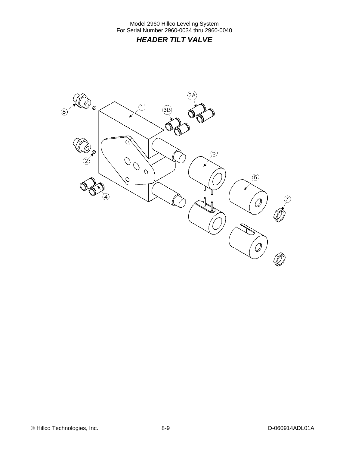Model 2960 Hillco Leveling System For Serial Number 2960-0034 thru 2960-0040 *HEADER TILT VALVE* 

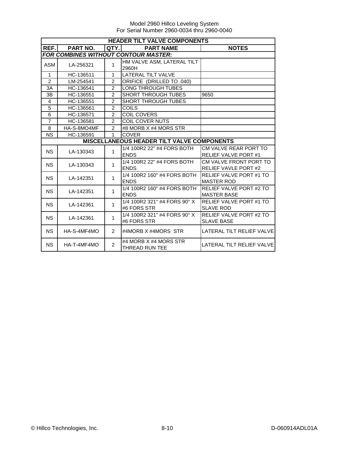|                | <b>HEADER TILT VALVE COMPONENTS</b> |                |                                                   |                                |  |
|----------------|-------------------------------------|----------------|---------------------------------------------------|--------------------------------|--|
| REF.I          | <b>PART NO.</b>                     | QTY.           | <b>PART NAME</b>                                  | <b>NOTES</b>                   |  |
|                |                                     |                | <b>FOR COMBINES WITHOUT CONTOUR MASTER:</b>       |                                |  |
| ASM            | LA-256321                           | 1              | HM VALVE ASM, LATERAL TILT                        |                                |  |
|                |                                     |                | 2960H                                             |                                |  |
| $\mathbf{1}$   | HC-136511                           | 1              | <b>LATERAL TILT VALVE</b>                         |                                |  |
| $\overline{c}$ | LM-254541                           | $\overline{2}$ | ORIFICE (DRILLED TO .040)                         |                                |  |
| 3A             | HC-136541                           | $\mathfrak{p}$ | <b>LONG THROUGH TUBES</b>                         |                                |  |
| 3B             | HC-136551                           | $\overline{2}$ | <b>SHORT THROUGH TUBES</b>                        | 9650                           |  |
| $\overline{4}$ | HC-136551                           | $\overline{2}$ | <b>SHORT THROUGH TUBES</b>                        |                                |  |
| 5              | HC-136561                           | $\mathfrak{p}$ | <b>COILS</b>                                      |                                |  |
| 6              | HC-136571                           | $\overline{c}$ | <b>COIL COVERS</b>                                |                                |  |
| $\overline{7}$ | HC-136581                           | $\overline{2}$ | <b>COIL COVER NUTS</b>                            |                                |  |
| 8              | HA-S-8MO4MF                         | $\mathfrak{p}$ | #8 MORB X #4 MORS STR                             |                                |  |
| <b>NS</b>      | HC-136591                           | 1              | <b>COVER</b>                                      |                                |  |
|                |                                     |                | <b>MISCELLANEOUS HEADER TILT VALVE COMPONENTS</b> |                                |  |
| <b>NS</b>      | LA-130343                           | 1              | 1/4 100R2 22" #4 FORS BOTH                        | CM VALVE REAR PORT TO          |  |
|                |                                     |                | <b>ENDS</b>                                       | <b>RELIEF VALVE PORT#1</b>     |  |
| <b>NS</b>      | LA-130343                           | $\mathbf{1}$   | 1/4 100R2 22" #4 FORS BOTH                        | CM VALVE FRONT PORT TO         |  |
|                |                                     |                | <b>ENDS</b>                                       | <b>RELIEF VAVLE PORT #2</b>    |  |
| <b>NS</b>      | LA-142351                           | 1              | 1/4 100R2 160" #4 FORS BOTH                       | <b>RELIEF VALVE PORT #1 TO</b> |  |
|                |                                     |                | <b>ENDS</b>                                       | <b>MASTER ROD</b>              |  |
| <b>NS</b>      | LA-142351                           | 1              | 1/4 100R2 160" #4 FORS BOTH                       | <b>RELIEF VALVE PORT #2 TO</b> |  |
|                |                                     |                | <b>ENDS</b>                                       | <b>MASTER BASE</b>             |  |
| <b>NS</b>      | LA-142361                           | $\mathbf{1}$   | 1/4 100R2 321" #4 FORS 90° X                      | RELIEF VALVE PORT #1 TO        |  |
|                |                                     |                | #6 FORS STR                                       | <b>SLAVE ROD</b>               |  |
| <b>NS</b>      | LA-142361                           | 1              | 1/4 100R2 321" #4 FORS 90° X                      | RELIEF VALVE PORT #2 TO        |  |
|                |                                     |                | #6 FORS STR                                       | <b>SLAVE BASE</b>              |  |
| NS.            | HA-S-4MF4MO                         | $\overline{2}$ | #4MORB X #4MORS STR                               | LATERAL TILT RELIEF VALVE      |  |
|                |                                     |                |                                                   |                                |  |
| <b>NS</b>      | HA-T-4MF4MO                         | $\overline{2}$ | #4 MORB X #4 MORS STR                             | LATERAL TILT RELIEF VALVE      |  |
|                |                                     |                | <b>THREAD RUN TEE</b>                             |                                |  |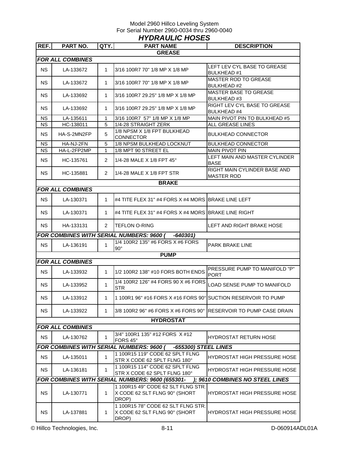### Model 2960 Hillco Leveling System For Serial Number 2960-0034 thru 2960-0040 *HYDRAULIC HOSES*

| REF.      | PART NO.                | QTY.           | <b>PART NAME</b>                                                             | <b>DESCRIPTION</b>                                  |
|-----------|-------------------------|----------------|------------------------------------------------------------------------------|-----------------------------------------------------|
|           |                         |                | <b>GREASE</b>                                                                |                                                     |
|           | <b>FOR ALL COMBINES</b> |                |                                                                              |                                                     |
| <b>NS</b> | LA-133672               | $\mathbf 1$    | 3/16 100R7 70" 1/8 MP X 1/8 MP                                               | LEFT LEV CYL BASE TO GREASE<br><b>BULKHEAD #1</b>   |
| <b>NS</b> | LA-133672               | $\mathbf{1}$   | 3/16 100R7 70" 1/8 MP X 1/8 MP                                               | <b>MASTER ROD TO GREASE</b><br><b>BULKHEAD#2</b>    |
| <b>NS</b> | LA-133692               | 1              | 3/16 100R7 29.25" 1/8 MP X 1/8 MP                                            | <b>MASTER BASE TO GREASE</b><br><b>BULKHEAD #3</b>  |
| <b>NS</b> | LA-133692               | 1              | 3/16 100R7 29.25" 1/8 MP X 1/8 MP                                            | RIGHT LEV CYL BASE TO GREASE<br><b>BULKHEAD #4</b>  |
| <b>NS</b> | LA-135611               | 1              | 3/16 100R7 57" 1/8 MP X 1/8 MP                                               | MAIN PIVOT PIN TO BULKHEAD #5                       |
| <b>NS</b> | HC-138011               | 5              | 1/4-28 STRAIGHT ZERK                                                         | ALL GREASE LINES                                    |
| NS.       | HA-S-2MN2FP             | 5              | 1/8 NPSM X 1/8 FPT BULKHEAD<br>CONNECTOR                                     | <b>BULKHEAD CONNECTOR</b>                           |
| <b>NS</b> | HA-NJ-2FN               | 5              | 1/8 NPSM BULKHEAD LOCKNUT                                                    | <b>BULKHEAD CONNECTOR</b>                           |
| <b>NS</b> | HA-L-2FP2MP             | 1              | 1/8 MPT 90 STREET EL                                                         | <b>MAIN PIVOT PIN</b>                               |
| NS.       | HC-135761               | $\overline{2}$ | 1/4-28 MALE X 1/8 FPT 45°                                                    | LEFT MAIN AND MASTER CYLINDER<br><b>BASE</b>        |
| NS.       | HC-135881               | $\overline{2}$ | 1/4-28 MALE X 1/8 FPT STR                                                    | RIGHT MAIN CYLINDER BASE AND<br><b>MASTER ROD</b>   |
|           |                         |                | <b>BRAKE</b>                                                                 |                                                     |
|           | <b>FOR ALL COMBINES</b> |                |                                                                              |                                                     |
| <b>NS</b> | LA-130371               | $\mathbf{1}$   | #4 TITE FLEX 31" #4 FORS X #4 MORS BRAKE LINE LEFT                           |                                                     |
| <b>NS</b> | LA-130371               | 1              | #4 TITE FLEX 31" #4 FORS X #4 MORS BRAKE LINE RIGHT                          |                                                     |
| <b>NS</b> | HA-133131               | $\overline{2}$ | <b>TEFLON O-RING</b>                                                         | LEFT AND RIGHT BRAKE HOSE                           |
|           |                         |                | <b>FOR COMBINES WITH SERIAL NUMBERS: 9600 (</b><br>-640301)                  |                                                     |
| <b>NS</b> | LA-136191               | 1              | 1/4 100R2 135" #6 FORS X #6 FORS<br>$90^\circ$                               | PARK BRAKE LINE                                     |
|           |                         |                | <b>PUMP</b>                                                                  |                                                     |
|           | <b>FOR ALL COMBINES</b> |                |                                                                              |                                                     |
| <b>NS</b> | LA-133932               | $\mathbf{1}$   | 1/2 100R2 138" #10 FORS BOTH ENDS                                            | <b>PRESSURE PUMP TO MANIFOLD "P"</b><br><b>PORT</b> |
| <b>NS</b> | LA-133952               | $\mathbf{1}$   | 1/4 100R2 126" #4 FORS 90 X #6 FORS<br><b>STR</b>                            | LOAD SENSE PUMP TO MANIFOLD                         |
| <b>NS</b> | LA-133912               | $\mathbf{1}$   | 1 100R1 96" #16 FORS X #16 FORS 90° SUCTION RESERVOIR TO PUMP                |                                                     |
| <b>NS</b> | LA-133922               | 1              | 3/8 100R2 96" #6 FORS X #6 FORS 90° RESERVOIR TO PUMP CASE DRAIN             |                                                     |
|           |                         |                | <b>HYDROSTAT</b>                                                             |                                                     |
|           | <b>FOR ALL COMBINES</b> |                |                                                                              |                                                     |
| <b>NS</b> | LA-130762               | $\mathbf 1$    | 3/4" 100R1 135" #12 FORS X #12<br>FORS 45°                                   | <b>HYDROSTAT RETURN HOSE</b>                        |
|           |                         |                | <b>FOR COMBINES WITH SERIAL NUMBERS: 9600 (</b><br>-655300) STEEL LINES      |                                                     |
| <b>NS</b> | LA-135011               | 1              | 1 100R15 119" CODE 62 SPLT FLNG<br>STR X CODE 62 SPLT FLNG 180°              | <b>HYDROSTAT HIGH PRESSURE HOSE</b>                 |
| NS.       | LA-136181               | $\mathbf{1}$   | 1 100R15 114" CODE 62 SPLT FLNG<br>STR X CODE 62 SPLT FLNG 180°              | <b>HYDROSTAT HIGH PRESSURE HOSE</b>                 |
|           |                         |                | FOR COMBINES WITH SERIAL NUMBERS: 9600 (655301-                              | ); 9610 COMBINES NO STEEL LINES                     |
| <b>NS</b> | LA-130771               | $\mathbf 1$    | 1 100R15 49" CODE 62 SLT FLNG STR.<br>X CODE 62 SLT FLNG 90° (SHORT<br>DROP) | <b>HYDROSTAT HIGH PRESSURE HOSE</b>                 |
| <b>NS</b> | LA-137881               | $\mathbf 1$    | 1 100R15 78" CODE 62 SLT FLNG STR.<br>X CODE 62 SLT FLNG 90° (SHORT<br>DROP) | HYDROSTAT HIGH PRESSURE HOSE                        |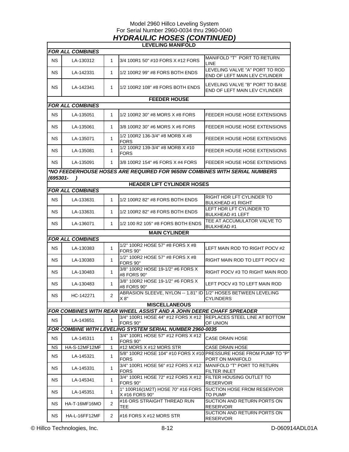### Model 2960 Hillco Leveling System For Serial Number 2960-0034 thru 2960-0040 *HYDRAULIC HOSES (CONTINUED)*

|           |                         |                | <b>LEVELING MANIFOLD</b>                                                     |                                                                                        |
|-----------|-------------------------|----------------|------------------------------------------------------------------------------|----------------------------------------------------------------------------------------|
|           | <b>FOR ALL COMBINES</b> |                |                                                                              |                                                                                        |
| <b>NS</b> | LA-130312               | $\mathbf{1}$   | 3/4 100R1 50" #10 FORS X #12 FORS                                            | MANIFOLD "T" PORT TO RETURN<br>LINE                                                    |
| NS.       | LA-142331               | $\mathbf{1}$   | 1/2 100R2 99" #8 FORS BOTH ENDS                                              | LEVELING VALVE "A" PORT TO ROD<br>END OF LEFT MAIN LEV CYLINDER                        |
| NS.       | LA-142341               | $\mathbf{1}$   | 1/2 100R2 108" #8 FORS BOTH ENDS                                             | LEVELING VALVE "B" PORT TO BASE<br>END OF LEFT MAIN LEV CYLINDER                       |
|           |                         |                | <b>FEEDER HOUSE</b>                                                          |                                                                                        |
|           | <b>FOR ALL COMBINES</b> |                |                                                                              |                                                                                        |
| NS.       | LA-135051               | 1              | 1/2 100R2 30" #8 MORS X #8 FORS                                              | FEEDER HOUSE HOSE EXTENSIONS                                                           |
| NS.       | LA-135061               | 1              | 3/8 100R2 30" #6 MORS X #6 FORS                                              | FEEDER HOUSE HOSE EXTENSIONS                                                           |
| NS.       | LA-135071               | $\mathbf{1}$   | 1/2 100R2 136-3/4" #8 MORB X #8<br><b>FORS</b>                               | FEEDER HOUSE HOSE EXTENSIONS                                                           |
| NS.       | LA-135081               | $\mathbf{1}$   | 1/2 100R2 139-3/4" #8 MORB X #10<br><b>FORS</b>                              | FEEDER HOUSE HOSE EXTENSIONS                                                           |
| NS.       | LA-135091               | 1              | 3/8 100R2 154" #6 FORS X #4 FORS                                             | FEEDER HOUSE HOSE EXTENSIONS                                                           |
| (695301-  |                         |                | *NO FEEDERHOUSE HOSES ARE REQUIRED FOR 9650W COMBINES WITH SERIAL NUMBERS    |                                                                                        |
|           |                         |                | <b>HEADER LIFT CYLINDER HOSES</b>                                            |                                                                                        |
|           | <b>FOR ALL COMBINES</b> |                |                                                                              |                                                                                        |
| NS.       | LA-133631               | 1              | 1/2 100R2 82" #8 FORS BOTH ENDS                                              | RIGHT HDR LFT CYLINDER TO<br><b>BULKHEAD #1 RIGHT</b>                                  |
| NS.       | LA-133631               | 1              | 1/2 100R2 82" #8 FORS BOTH ENDS                                              | LEFT HDR LFT CYLINDER TO<br><b>BULKHEAD #1 LEFT</b>                                    |
| ΝS        | LA-136071               | 1              | 1/2 100 R2 105" #8 FORS BOTH ENDS                                            | TEE AT ACCUMULATOR VALVE TO<br><b>BULKHEAD #1</b>                                      |
|           |                         |                | <b>MAIN CYLINDER</b>                                                         |                                                                                        |
|           | <b>FOR ALL COMBINES</b> |                |                                                                              |                                                                                        |
| NS.       | LA-130383               | $\mathbf{1}$   | 1/2" 100R2 HOSE 57" #8 FORS X #8<br>FORS 90°                                 | LEFT MAIN ROD TO RIGHT POCV #2                                                         |
| NS.       | LA-130383               | 1              | 1/2" 100R2 HOSE 57" #8 FORS X #8<br>FORS 90°                                 | RIGHT MAIN ROD TO LEFT POCV #2                                                         |
| NS.       | LA-130483               | 1              | 3/8" 100R2 HOSE 19-1/2" #6 FORS X<br>#8 FORS 90°                             | RIGHT POCV #3 TO RIGHT MAIN ROD                                                        |
| NS.       | LA-130483               | 1              | 3/8" 100R2 HOSE 19-1/2" #6 FORS X<br>#8 FORS 90°                             | LEFT POCV #3 TO LEFT MAIN ROD                                                          |
| NS.       | HC-142271               | 2              | ABRASION SLEEVE, NYLON -- 1.81" ID 1/2" HOSES BETWEEN LEVELING<br>X 8"       | <b>CYLINDERS</b>                                                                       |
|           |                         |                | <b>MISCELLANEOUS</b>                                                         |                                                                                        |
|           |                         |                | FOR COMBINES WITH REAR WHEEL ASSIST AND A JOHN DEERE CHAFF SPREADER          |                                                                                        |
| <b>NS</b> | LA-143651               | $\mathbf{1}$   | 3/4" 100R1 HOSE 44" #12 FORS X #12 REPLACES STEEL LINE AT BOTTOM<br>FORS 90° | OF UNION                                                                               |
|           |                         |                | FOR COMBINE WITH LEVELING SYSTEM SERIAL NUMBER 2960-0035                     |                                                                                        |
| <b>NS</b> | LA-145311               | 1              | 3/4" 100R1 HOSE 57" #12 FORS X #12<br>FORS 90°                               | CASE DRAIN HOSE                                                                        |
| NS.       | HA-S-12MF12MF           | 1              | #12 MORS X #12 MORS STR                                                      | <b>CASE DRAIN HOSE</b>                                                                 |
| <b>NS</b> | LA-145321               | 1              | FORS                                                                         | 5/8" 100R2 HOSE 104" #10 FORS X #10 PRESSURE HOSE FROM PUMP TO "P"<br>PORT ON MANIFOLD |
| <b>NS</b> | LA-145331               | 1              | 3/4" 100R1 HOSE 56" #12 FORS X #12<br><b>FORS</b>                            | MANIFOLD "T" PORT TO RETURN<br>FILTER INLET                                            |
| <b>NS</b> | LA-145341               | $\mathbf{1}$   | 3/4" 100R1 HOSE 72" #12 FORS X #12<br>FORS 90°                               | <b>FILTER HOUSING OUTLET TO</b><br><b>RESERVOIR</b>                                    |
| NS.       | LA-145351               | $\mathbf{1}$   | 1" 100R16(1M2T) HOSE 70" #16 FORS<br>X #16 FORS 90°                          | SUCTION HOSE FROM RESERVOIR<br>TO PUMP                                                 |
| NS.       | HA-T-16MF16MO           | $\overline{2}$ | #16 ORS STRAIGHT THREAD RUN<br>TEE.                                          | SUCTION AND RETURN PORTS ON<br><b>RESERVOIR</b>                                        |
| <b>NS</b> | HA-L-16FF12MF           | 2              | $\#$ 16 FORS X $\#$ 12 MORS STR                                              | SUCTION AND RETURN PORTS ON<br><b>RESERVOIR</b>                                        |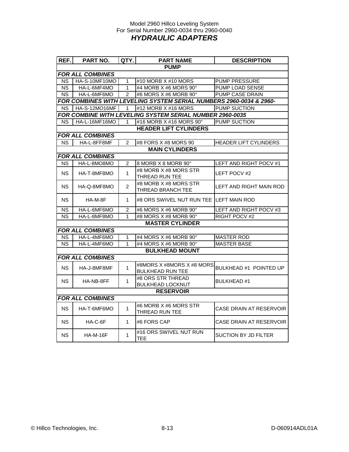### Model 2960 Hillco Leveling System For Serial Number 2960-0034 thru 2960-0040 *HYDRAULIC ADAPTERS*

| REF.                   | PART NO.                | QTY.           | <b>PART NAME</b>                                                   | <b>DESCRIPTION</b>      |
|------------------------|-------------------------|----------------|--------------------------------------------------------------------|-------------------------|
|                        |                         |                | <b>PUMP</b>                                                        |                         |
|                        | <b>FOR ALL COMBINES</b> |                |                                                                    |                         |
| <b>NS</b>              | HA-S-10MF10MO           | $\overline{1}$ | #10 MORB X #10 MORS                                                | <b>PUMP PRESSURE</b>    |
| $\overline{\text{NS}}$ | HA-L-6MF4MO             | $\overline{1}$ | #4 MORB X #6 MORS 90°                                              | <b>PUMP LOAD SENSE</b>  |
| $\overline{\text{NS}}$ | HA-L-6MF6MO             | $\overline{2}$ | #6 MORS X #6 MORB 90°                                              | <b>PUMP CASE DRAIN</b>  |
|                        |                         |                | FOR COMBINES WITH LEVELING SYSTEM SERIAL NUMBERS 2960-0034 & 2960- |                         |
| NS.                    | HA-S-12MO16MF           | $\mathbf{1}$   | #12 MORB X #16 MORS                                                | <b>PUMP SUCTION</b>     |
|                        |                         |                | FOR COMBINE WITH LEVELING SYSTEM SERIAL NUMBER 2960-0035           |                         |
| NS.                    | HA-L-16MF16MO           | 1              | #16 MORB X #16 MORS 90°                                            | PUMP SUCTION            |
|                        |                         |                | <b>HEADER LIFT CYLINDERS</b>                                       |                         |
|                        | <b>FOR ALL COMBINES</b> |                |                                                                    |                         |
| NS.                    | HA-L-8FF8MF             | 2              | #8 FORS X #8 MORS 90                                               | HEADER LIFT CYLINDERS   |
|                        |                         |                | <b>MAIN CYLINDERS</b>                                              |                         |
|                        | <b>FOR ALL COMBINES</b> |                |                                                                    |                         |
| ΝS                     | HA-L-8MO8MO             | $\overline{2}$ | 8 MORB X 8 MORB 90°                                                | LEFT AND RIGHT POCV #1  |
| NS.                    | HA-T-8MF8MO             | $\mathbf{1}$   | #8 MORB X #8 MORS STR<br>THREAD RUN TEE                            | LEFT POCV #2            |
| NS.                    | HA-Q-8MF8MO             | $\overline{2}$ | #8 MORB X #8 MORS STR<br>THREAD BRANCH TEE                         | LEFT AND RIGHT MAIN ROD |
| NS.                    | HA-M-8F                 | 1              | #8 ORS SWIVEL NUT RUN TEE ILEFT MAIN ROD                           |                         |
| <b>NS</b>              | HA-L-6MF6MO             | $\overline{2}$ | #6 MORS X #6 MORB 90°                                              | LEFT AND RIGHT POCV #3  |
| <b>NS</b>              | HA-L-8MF8MO             | 1              | #8 MORS X #8 MORB 90°                                              | <b>RIGHT POCV #2</b>    |
|                        |                         |                | <b>MASTER CYLINDER</b>                                             |                         |
|                        | <b>FOR ALL COMBINES</b> |                |                                                                    |                         |
| NS                     | HA-L-4MF6MO             | $\mathbf{1}$   | #4 MORS X #6 MORB 90°                                              | <b>MASTER ROD</b>       |
| <b>NS</b>              | HA-L-4MF6MO             | $\mathbf{1}$   | #4 MORS X #6 MORB 90°                                              | <b>MASTER BASE</b>      |
|                        |                         |                | <b>BULKHEAD MOUNT</b>                                              |                         |
|                        | <b>FOR ALL COMBINES</b> |                |                                                                    |                         |
| <b>NS</b>              | HA-J-8MF8MF             | $\mathbf{1}$   | #8MORS X #8MORS X #8 MORS<br><b>BULKHEAD RUN TEE</b>               | BULKHEAD #1 POINTED UP  |
| <b>NS</b>              | HA-NB-8FF               | $\mathbf{1}$   | #8 ORS STR THREAD<br><b>BULKHEAD LOCKNUT</b>                       | <b>BULKHEAD#1</b>       |
|                        |                         |                | <b>RESERVOIR</b>                                                   |                         |
|                        | <b>FOR ALL COMBINES</b> |                |                                                                    |                         |
| NS.                    | HA-T-6MF6MO             | 1              | #6 MORB X #6 MORS STR<br><b>THREAD RUN TEE</b>                     | CASE DRAIN AT RESERVOIR |
| NS.                    | HA-C-6F                 | $\mathbf{1}$   | #6 FORS CAP                                                        | CASE DRAIN AT RESERVOIR |
| NS.                    | <b>HA-M-16F</b>         | 1              | #16 ORS SWIVEL NUT RUN<br><b>TEE</b>                               | SUCTION BY JD FILTER    |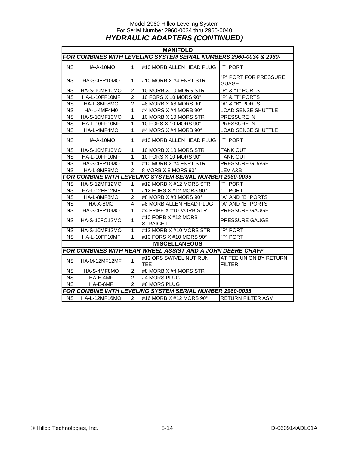### Model 2960 Hillco Leveling System For Serial Number 2960-0034 thru 2960-0040 *HYDRAULIC ADAPTERS (CONTINUED)*

|                        | <b>MANIFOLD</b>      |                |                                                                    |                                         |  |
|------------------------|----------------------|----------------|--------------------------------------------------------------------|-----------------------------------------|--|
|                        |                      |                | FOR COMBINES WITH LEVELING SYSTEM SERIAL NUMBERS 2960-0034 & 2960- |                                         |  |
| <b>NS</b>              | HA-A-10MO            | $\mathbf{1}$   | #10 MORB ALLEN HEAD PLUG   "T" PORT                                |                                         |  |
| <b>NS</b>              | HA-S-4FP10MO         | 1              | $\#$ 10 MORB X $\#$ 4 FNPT STR                                     | "P" PORT FOR PRESSURE<br><b>GUAGE</b>   |  |
| <b>NS</b>              | HA-S-10MF10MO        | $\overline{2}$ | 10 MORB X 10 MORS STR                                              | "P" & "T" PORTS                         |  |
| <b>NS</b>              | HA-L-10FF10MF        | 2              | 10 FORS X 10 MORS 90°                                              | "P" & "T" PORTS                         |  |
| <b>NS</b>              | HA-L-8MF8MO          | 2              | #8 MORB X #8 MORS 90°                                              | "A" & "B" PORTS                         |  |
| $_{\rm NS}$            | HA-L-4MF4M0          | $\mathbf{1}$   | #4 MORS X #4 MORB 90°                                              | LOAD SENSE SHUTTLE                      |  |
| <b>NS</b>              | HA-S-10MF10MO        | $\mathbf{1}$   | 10 MORB X 10 MORS STR                                              | PRESSURE IN                             |  |
| <b>NS</b>              | HA-L-10FF10MF        | $\mathbf{1}$   | 10 FORS X 10 MORS 90°                                              | PRESSURE IN                             |  |
| <b>NS</b>              | HA-L-4MF4MO          | $\mathbf{1}$   | #4 MORS X #4 MORB 90°                                              | <b>LOAD SENSE SHUTTLE</b>               |  |
| <b>NS</b>              | HA-A-10MO            | $\mathbf 1$    | #10 MORB ALLEN HEAD PLUG                                           | "T" PORT                                |  |
| <b>NS</b>              | HA-S-10MF10MO        | $\mathbf{1}$   | 10 MORB X 10 MORS STR                                              | <b>TANK OUT</b>                         |  |
| <b>NS</b>              | HA-L-10FF10MF        | $\mathbf{1}$   | 10 FORS X 10 MORS 90°                                              | <b>TANK OUT</b>                         |  |
| <b>NS</b>              | HA-S-4FP10MO         | $\mathbf{1}$   | #10 MORB X #4 FNPT STR                                             | <b>PRESSURE GUAGE</b>                   |  |
| <b>NS</b>              | HA-L-8MF8MO          | $\overline{2}$ | 8 MORB X 8 MORS 90°                                                | LEV A&B                                 |  |
|                        |                      |                | <b>FOR COMBINE WITH LEVELING SYSTEM SERIAL NUMBER 2960-0035</b>    |                                         |  |
| <b>NS</b>              | <b>HA-S-12MF12MO</b> | 1              | #12 MORB X #12 MORS STR                                            | "T" PORT                                |  |
| <b>NS</b>              | HA-L-12FF12MF        | $\mathbf{1}$   | #12 FORS X #12 MORS $90^\circ$                                     | "T" PORT                                |  |
| <b>NS</b>              | HA-L-8MF8MO          | $\overline{2}$ | #8 MORB X #8 MORS 90°                                              | "A" AND "B" PORTS                       |  |
| <b>NS</b>              | HA-A-8MO             | 4              | #8 MORB ALLEN HEAD PLUG                                            | "A" AND "B" PORTS                       |  |
| <b>NS</b>              | HA-S-4FP10MO         | $\mathbf{1}$   | #4 FPIPE X #10 MORB STR                                            | PRESSURE GAUGE                          |  |
| <b>NS</b>              | HA-S-10FO12MO        | 1              | #10 FORB X #12 MORB<br><b>STRAIGHT</b>                             | PRESSURE GAUGE                          |  |
| <b>NS</b>              | HA-S-10MF12MO        | $\mathbf{1}$   | #12 MORB X #10 MORS STR                                            | "P" PORT                                |  |
| <b>NS</b>              | HA-L-10FF10MF        | $\mathbf{1}$   | #10 FORS X #10 MORS 90°                                            | "P" PORT                                |  |
|                        |                      |                | <b>MISCELLANEOUS</b>                                               |                                         |  |
|                        |                      |                | FOR COMBINES WITH REAR WHEEL ASSIST AND A JOHN DEERE CHAFF         |                                         |  |
| <b>NS</b>              | HA-M-12MF12MF        | $\mathbf{1}$   | #12 ORS SWIVEL NUT RUN<br><b>TEE</b>                               | AT TEE UNION BY RETURN<br><b>FILTER</b> |  |
| <b>NS</b>              | HA-S-4MF8MO          | $\overline{2}$ | #8 MORB X #4 MORS STR                                              |                                         |  |
| <b>NS</b>              | HA-E-4MF             | $\overline{2}$ | #4 MORS PLUG                                                       |                                         |  |
| $\overline{\text{NS}}$ | $HA-E-6MF$           | $\overline{2}$ | #6 MORS PLUG                                                       |                                         |  |
|                        |                      |                | FOR COMBINE WITH LEVELING SYSTEM SERIAL NUMBER 2960-0035           |                                         |  |
| $\overline{\text{NS}}$ | HA-L-12MF16MO        | $\overline{2}$ | #16 MORB X #12 MORS 90°                                            | <b>RETURN FILTER ASM</b>                |  |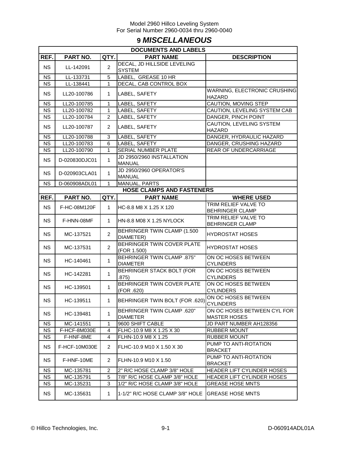### **9** *MISCELLANEOUS*

|                        | <b>DOCUMENTS AND LABELS</b> |                |                                           |                                           |  |  |
|------------------------|-----------------------------|----------------|-------------------------------------------|-------------------------------------------|--|--|
| REF.                   | PART NO.                    | QTY.           | <b>PART NAME</b>                          | <b>DESCRIPTION</b>                        |  |  |
| <b>NS</b>              | LL-142091                   | $\overline{2}$ | DECAL, JD HILLSIDE LEVELING               |                                           |  |  |
|                        |                             |                | <b>SYSTEM</b>                             |                                           |  |  |
| <b>NS</b>              | LL-133731                   | 5              | LABEL, GREASE 10 HR                       |                                           |  |  |
| $\overline{\text{NS}}$ | LL-138441                   | $\mathbf{1}$   | DECAL, CAB CONTROL BOX                    |                                           |  |  |
| <b>NS</b>              | LL20-100786                 | $\mathbf{1}$   | LABEL, SAFETY                             | WARNING, ELECTRONIC CRUSHING              |  |  |
|                        |                             |                |                                           | HAZARD                                    |  |  |
| <b>NS</b>              | LL20-100785                 | 1              | LABEL, SAFETY                             | CAUTION, MOVING STEP                      |  |  |
| <b>NS</b>              | LL20-100782                 | $\mathbf{1}$   | LABEL, SAFETY                             | CAUTION, LEVELING SYSTEM CAB              |  |  |
| <b>NS</b>              | LL20-100784                 | $\overline{2}$ | LABEL, SAFETY                             | DANGER, PINCH POINT                       |  |  |
| <b>NS</b>              | LL20-100787                 | $\overline{2}$ | LABEL, SAFETY                             | CAUTION, LEVELING SYSTEM<br><b>HAZARD</b> |  |  |
| <b>NS</b>              | LL20-100788                 | 3              | LABEL, SAFETY                             | DANGER, HYDRAULIC HAZARD                  |  |  |
| <b>NS</b>              | LL20-100783                 | 6              | LABEL, SAFETY                             | DANGER, CRUSHING HAZARD                   |  |  |
| <b>NS</b>              | LL20-100790                 | 1              | SERIAL NUMBER PLATE                       | REAR OF UNDERCARRIAGE                     |  |  |
|                        | D-020830DJC01               |                | JD 2950/2960 INSTALLATION                 |                                           |  |  |
| <b>NS</b>              |                             | 1              | <b>MANUAL</b>                             |                                           |  |  |
| <b>NS</b>              | D-020903CLA01               | $\mathbf{1}$   | JD 2950/2960 OPERATOR'S<br><b>MANUAL</b>  |                                           |  |  |
| <b>NS</b>              | D-060908ADL01               | 1              | MANUAL, PARTS                             |                                           |  |  |
|                        |                             |                | <b>HOSE CLAMPS AND FASTENERS</b>          |                                           |  |  |
| REF.                   | PART NO.                    | QTY.           | <b>PART NAME</b>                          | <b>WHERE USED</b>                         |  |  |
|                        |                             |                |                                           | TRIM RELIEF VALVE TO                      |  |  |
| <b>NS</b>              | F-HC-08M120F                | $\mathbf{1}$   | HC-8.8 M8 X 1.25 X 120                    | <b>BEHRINGER CLAMP</b>                    |  |  |
| <b>NS</b>              | F-HNN-08MF                  | $\mathbf{1}$   | HN-8.8 M08 X 1.25 NYLOCK                  | TRIM RELIEF VALVE TO                      |  |  |
|                        |                             |                |                                           | <b>BEHRINGER CLAMP</b>                    |  |  |
| <b>NS</b>              | MC-137521                   | $\overline{2}$ | BEHRINGER TWIN CLAMP (1.500<br>DIAMETER)  | <b>HYDROSTAT HOSES</b>                    |  |  |
| <b>NS</b>              | MC-137531                   | $\overline{2}$ | BEHRINGER TWIN COVER PLATE<br>(FOR 1.500) | <b>HYDROSTAT HOSES</b>                    |  |  |
|                        |                             |                | <b>BEHRINGER TWIN CLAMP .875"</b>         | ON OC HOSES BETWEEN                       |  |  |
| <b>NS</b>              | HC-140461                   | $\mathbf{1}$   | <b>DIAMETER</b>                           | <b>CYLINDERS</b>                          |  |  |
| <b>NS</b>              | HC-142281                   | $\mathbf{1}$   | BEHRINGER STACK BOLT (FOR                 | ON OC HOSES BETWEEN                       |  |  |
|                        |                             |                | .875)                                     | <b>CYLINDERS</b>                          |  |  |
| <b>NS</b>              | HC-139501                   | $\mathbf{1}$   | BEHRINGER TWIN COVER PLATE                | ON OC HOSES BETWEEN                       |  |  |
|                        |                             |                | (FOR .620)                                | <b>CYLINDERS</b>                          |  |  |
| <b>NS</b>              | HC-139511                   | $\mathbf{1}$   | BEHRINGER TWIN BOLT (FOR .620)            | ON OC HOSES BETWEEN                       |  |  |
|                        |                             |                |                                           | <b>CYLINDERS</b>                          |  |  |
| <b>NS</b>              | HC-139481                   | 1              | <b>BEHRINGER TWIN CLAMP .620"</b>         | ON OC HOSES BETWEEN CYL FOR               |  |  |
|                        |                             |                | <b>DIAMETER</b>                           | <b>MASTER HOSES</b>                       |  |  |
| NS.                    | MC-141551                   | 1              | 9600 SHIFT CABLE                          | JD PART NUMBER AH128356                   |  |  |
| <b>NS</b>              | F-HCF-8M030E                | 4              | FLHC-10.9 M8 X 1.25 X 30                  | <b>RUBBER MOUNT</b>                       |  |  |
| <b>NS</b>              | F-HNF-8ME                   | 4              | FLHN-10.9 M8 X 1.25                       | <b>RUBBER MOUNT</b>                       |  |  |
| <b>NS</b>              | F-HCF-10M030E               | 2              | FLHC-10.9 M10 X 1.50 X 30                 | PUMP TO ANTI-ROTATION<br><b>BRACKET</b>   |  |  |
|                        |                             |                |                                           | PUMP TO ANTI-ROTATION                     |  |  |
| NS.                    | F-HNF-10ME                  | 2              | FLHN-10.9 M10 X 1.50                      | <b>BRACKET</b>                            |  |  |
| <b>NS</b>              | MC-135781                   | $\overline{c}$ | 2" R/C HOSE CLAMP 3/8" HOLE               | HEADER LIFT CYLINDER HOSES                |  |  |
| <b>NS</b>              | MC-135791                   | 5              | 7/8" R/C HOSE CLAMP 3/8" HOLE             | HEADER LIFT CYLINDER HOSES                |  |  |
| <b>NS</b>              | MC-135231                   | 3              | 1/2" R/C HOSE CLAMP 3/8" HOLE             | <b>GREASE HOSE MNTS</b>                   |  |  |
| <b>NS</b>              | MC-135631                   | 1              | 1-1/2" R/C HOSE CLAMP 3/8" HOLE           | <b>GREASE HOSE MNTS</b>                   |  |  |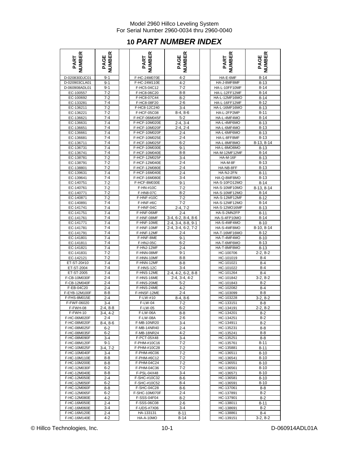# **10** *PART NUMBER INDEX*

| <b>MBER</b><br>PART | 띥<br>PAGE             |
|---------------------|-----------------------|
| D-020830DJC01       | $9 - 1$               |
| D-020903CLA01       | $9-1$                 |
| D-060908ADL01       | 9-1                   |
| EC-100557           | $7 - 2$               |
| EC-100692           | $7 - 2$               |
| EC-133281           | $7 - 4$               |
| EC-136211           | $7 - 2$               |
| EC-136221           | $7 - 2$               |
|                     | $7 - 4$               |
| EC-136621           |                       |
| EC-136631           | 7-4                   |
| EC-136651           | $7-4$                 |
| EC-136661           | $7-4$                 |
| EC-136681           | $7-4$                 |
| EC-136711           | $7-4$                 |
| EC-136731           | $7-4$                 |
| EC-136741           | 7-4                   |
| EC-138781           | $7-2$                 |
| EC-138791           | $7 - 2$               |
| EC-138801           | $7 - 2$               |
| EC-139631           | $7 - 4$               |
|                     | $7-4$                 |
| EC-139641           | $7-2$                 |
| EC-140751           |                       |
| EC-140761           | $7-2$                 |
| EC-140771           | 7-2                   |
| EC-140871           | $7 - 2$               |
| EC-140891           | $7-4$                 |
| EC-141741           | $7 - 4$               |
| EC-141751           | $7 - 4$               |
| EC-141761           | 7-4                   |
| EC-141771           | $\overline{7-4}$      |
| EC-141781           | $7 - 4$               |
| EC-141791           | $7 - 4$               |
| EC-141801           | $7 - 4$               |
|                     | $7 - 4$               |
| EC-141811           | $7 - 4$               |
| EC-141821           |                       |
| EC-141831           | 7-2                   |
| EC-142121           | $7-2$                 |
| ET-ST-20#10         | 7-4                   |
| ET-ST-2004          | $7 - 4$               |
| ET-ST-2005          | 7-4                   |
| F-CB-10M030F        | $2 - 4$               |
| F-CB-12M040F        | $2 - 4$               |
| F-EB-04C20          | $2 - 4$               |
| F-EYB-12M100F       | $8 - 8$               |
| F-FHS-8M015E        | 2-4                   |
| F-FWF-06020         | ว-⊿                   |
|                     |                       |
| F-FWH-08            | $2-4, 8-8$            |
| F-FWH-10            | $3-4, 4-2$<br>$2 - 4$ |
| F-HC-06M020F        |                       |
| F-HC-08M020F        | $8-4, 8-6$            |
| F-HC-08M025F        | $6 - 2$               |
| F-HC-08M035F        | $6 - 2$               |
| F-HC-08M090F        | 3-4                   |
| F-HC-08M120F        | $9 - 1$               |
| F-HC-10M025F        | 3-4, 7-2              |
| F-HC-10M040F        | $3 - 4$               |
| F-HC-10M110E        | $8 - 8$               |
| F-HC-10M200E        | 8-8                   |
| F-HC-12M030F        | $6 - 2$               |
| F-HC-12M040E        | $8 - 8$               |
| F-HC-12M050E        | 2-4                   |
| F-HC-12M050F        | $6 - 2$               |
| F-HC-12M060F        |                       |
|                     | 8-8                   |
| F-HC-12M065F        | 6-2                   |
| F-HC-12M080E        | 4-2                   |
| F-HC-16M050E        | $2 - 4$               |
| F-HC-16M060E        | $3 - 4$               |
| F-HC-16M120E        | $2 - 4$               |
| $F_HC_16MA1ADF$     | 1.2                   |

| NUMBER<br>PART               | <b>NUMBER</b><br>PAGE | <b>NUMBER</b><br>PART          | <b>NUMBER</b><br>PAGE                        | <b>NUMBER</b><br>PART        | <b>NUMBER</b><br>PAGE  |
|------------------------------|-----------------------|--------------------------------|----------------------------------------------|------------------------------|------------------------|
| D-020830DJC01                | $9 - 1$               | F-HC-24M070E                   | $4 - 2$                                      | HA-E-6MF                     | $8 - 14$               |
| D-020903CLA01                | $9 - 1$               | F-HC-24M110E                   | $4 - 2$                                      | HA-J-8MF8MF                  | $8 - 13$               |
| D-060908ADL01                | $9 - 1$               | F-HC5-04C12                    | $7 - 2$                                      | HA-L-10FF10MF                | $8 - 14$               |
| EC-100557                    | $7 - 2$               | F-HC8-06C20                    | $8 - 8$                                      | HA-L-12FF12MF                | $8 - 14$               |
| EC-100692                    | $7 - 2$               | F-HC8-07C44                    | $8 - 2$                                      | HA-L-12MF16MO                | $8 - 14$               |
| EC-133281                    | $7 - 4$               | F-HC8-08F20                    | $2 - 6$                                      | HA-L-16FF12MF                | $8 - 12$               |
| EC-136211                    | $7 - 2$               | F-HC8-12C240                   | $3 - 4$                                      | HA-L-16MF16MO                | $8 - 13$               |
| EC-136221                    | $7 - 2$<br>$7 - 4$    | F-HCF-05C08<br>F-HCF-06M045F   | $8-4, 8-6$                                   | HA-L-2FP2MP<br>HA-L-4MF4MO   | $8 - 11$<br>$8 - 14$   |
| EC-136621<br>EC-136631       | 7-4                   | F-HCF-10M020E                  | $5 - 2$<br>$2-4, 3-4$                        | HA-L-4MF6MO                  | $8 - 13$               |
| EC-136651                    | $7 - 4$               | F-HCF-10M020F                  | $2-4, 2-4$                                   | HA-L-6MF4MO                  | $8 - 13$               |
| EC-136661                    | $7 - 4$               | F-HCF-10M020F                  | $2 - 4$                                      | HA-L-6MF6MO                  | $8 - 13$               |
| EC-136681                    | $7 - 4$               | F-HCF-10M025E                  | $2 - 4$                                      | HA-L-8FF8MF                  | $8 - 13$               |
| EC-136711                    | $7 - 4$               | F-HCF-10M025F                  | $6 - 2$                                      | HA-L-8MF8MO                  | $8-13, 8-14$           |
| EC-136731                    | $7 - 4$               | F-HCF-10M030E                  | $9 - 1$                                      | HA-L-8MO8MO                  | $8 - 13$               |
| EC-136741                    | $7 - 4$               | F-HCF-10M040E                  | $8 - 8$                                      | HA-M-12MF12MF                | $8 - 14$               |
| EC-138781                    | $7 - 2$               | F-HCF-12M025F                  | $3 - 4$                                      | <b>HA-M-16F</b>              | $8 - 13$               |
| EC-138791                    | $7 - 2$               | F-HCF-12M040E                  | $2 - 4$                                      | HA-M-8F                      | $8 - 13$               |
| EC-138801                    | $7 - 2$               | F-HCF-12M080E                  | $2 - 4$                                      | HA-NB-8FF                    | $8 - 13$               |
| EC-139631                    | 7-4<br>$7 - 4$        | F-HCF-16M040E                  | $2 - 4$<br>$3 - 4$                           | HA-NJ-2FN                    | $8 - 11$               |
| EC-139641<br>EC-140751       | $7 - 2$               | F-HCF-16M080E<br>F-HCF-8M030E  | $9 - 1$                                      | HA-Q-8MF8MO<br>HA-S-10FO12MO | $8 - 13$<br>$8 - 14$   |
| EC-140761                    | $7 - 2$               | F-HN-#10C                      | $7 - 2$                                      | HA-S-10MF10MO                | $8-13, 8-14$           |
| EC-140771                    | $7 - 2$               | F-HN8-07C                      | $8 - 2$                                      | HA-S-10MF12MO                | $8 - 14$               |
| EC-140871                    | $7 - 2$               | F-HNF-#10C                     | $7-2$                                        | HA-S-12MF12MF                | $8 - 12$               |
| EC-140891                    | $7 - 4$               | F-HNF-#6C                      | $7 - 2$                                      | HA-S-12MF12MO                | $8 - 14$               |
| EC-141741                    | $7 - 4$               | F-HNF-04C                      | $2 - 4, 7 - 2$                               | HA-S-12MO16MF                | $8 - 13$               |
| EC-141751                    | $7 - 4$               | F-HNF-06MF                     | $2 - 4$                                      | HA-S-2MN2FP                  | $8 - 11$               |
| EC-141761                    | 7-4                   | F-HNF-08MF                     | $3-4, 6-2, 8-4, 8-6$                         | HA-S-4FP10MO                 | $8 - 14$               |
| EC-141771                    | $7 - 4$<br>$7 - 4$    | F-HNF-10ME<br>F-HNF-10MF       | 2-4, 3-4, 8-8, 9-1<br>2-4, 3-4, 6-2, 7-2     | HA-S-4MF4MO<br>HA-S-4MF8MO   | $8 - 10$<br>8-10, 8-14 |
| EC-141781<br>EC-141791       | $7 - 4$               | F-HNF-12MF                     | $2 - 4$                                      | HA-T-16MF16MO                | $8 - 12$               |
| EC-141801                    | $7 - 4$               | F-HNF-8ME                      | $9 - 1$                                      | HA-T-4MF4MO                  | $8 - 10$               |
| EC-141811                    | $7 - 4$               | F-HNJ-05C                      | 6-2                                          | HA-T-6MF6MO                  | $8 - 13$               |
| EC-141821                    | $7 - 4$               | F-HNJ-12MF                     | $2 - 4$                                      | HA-T-8MF8MO                  | $8 - 13$               |
| EC-141831                    | 7-2                   | F-HNN-08MF                     | $9 - 1$                                      | HC-100706                    | $2-2, 8-2$             |
| EC-142121                    | $7 - 2$               | F-HNN-10MF                     | $8 - 8$                                      | HC-101019                    | $8 - 4$                |
| ET-ST-20#10                  | $7 - 4$               | F-HNN-12MF                     | $8 - 8$                                      | HC-101021                    | $8 - 4$                |
| ET-ST-2004<br>ET-ST-2005     | $7 - 4$<br>$7 - 4$    | F-HNS-12C<br>F-HNS-12ME        | $3 - 4$                                      | HC-101022                    | $8 - 4$<br>$8 - 4$     |
| F-CB-10M030F                 | $2 - 4$               | F-HNS-16ME                     | 2-4, 4-2, 6-2, 8-8<br>$3-4, 4-2$<br>$2 - 4.$ | HC-101264<br>HC-101842       | $3-2, 8-2$             |
| F-CB-12M040F                 | 2-4                   | F-HNS-20ME                     | $5 - 2$                                      | HC-101843                    | $8 - 2$                |
| F-EB-04C20                   | $2 - 4$               | F-HNS-24ME                     | $4 - 2$                                      | HC-102082                    | $8 - 4$                |
| F-EYB-12M100F                | $8 - 8$               | F-HNSF-12ME                    | $2 - 4$                                      | HC-103099                    | $8 - 8$                |
| F-FHS-8M015E                 | $2 - 4$               | F-LW-#10                       | $8-4, 8-6$                                   | HC-103228                    | $3-2, 8-2$             |
| F-FWF-06020                  | $3 - 4$               | F-LW-04                        | $7 - 2$                                      | HC-133151                    | $8 - 8$                |
| F-FWH-08                     | 2-4, 8-8              | F-LW-05                        | 6-2                                          | HC-134191                    | $2 - 2, 8 - 2$         |
| F-FWH-10                     | 3-4, 4-2<br>$2 - 4$   | F-LW-06A                       | 8-8                                          | HC-134201                    | $8-2$                  |
| F-HC-06M020F<br>F-HC-08M020F | $8-4, 8-6$            | <b>F-LW-08A</b><br>F-MB-10NR20 | 2-6<br>$3 - 4$                               | HC-134251<br>HC-134911       | $8 - 2$<br>$8 - 2$     |
| F-HC-08M025F                 | $6 - 2$               | F-MB-14NR40                    | $2 - 4$                                      | HC-135231                    | 8-8                    |
| F-HC-08M035F                 | $6 - 2$               | F-MB-18NR24                    | 4-2                                          | HC-135241                    | $8 - 8$                |
| F-HC-08M090F                 | 3-4                   | F-PCT-05X48                    | $3 - 4$                                      | HC-135251                    | $8 - 8$                |
| F-HC-08M120F                 | $9 - 1$               | F-PHM-#10C16                   | $7-2$                                        | HC-135761                    | $8 - 11$               |
| F-HC-10M025F                 | $3-4, 7-2$            | F-PHM-#10C28                   | $7-2$                                        | HC-135881                    | $8 - 11$               |
| F-HC-10M040F                 | 3-4                   | F-PHM-#6C06                    | $7 - 2$                                      | HC-136511                    | $8 - 10$               |
| F-HC-10M110E                 | $8 - 8$               | F-PHM-#6C12                    | $7 - 2$                                      | HC-136541                    | $8 - 10$               |
| F-HC-10M200E<br>F-HC-12M030F | $8 - 8$<br>$6 - 2$    | F-PHM-04C24<br>F-PHM-04C36     | $7-2$<br>$7 - 2$                             | HC-136551<br>HC-136561       | $8 - 10$<br>$8 - 10$   |
| F-HC-12M040E                 | 8-8                   | F-PSL-04X48                    | 3-4                                          | HC-136571                    | $8 - 10$               |
| F-HC-12M050E                 | $2 - 4$               | F-SHC-#10C32                   | 8-6                                          | HC-136581                    | $8 - 10$               |
| F-HC-12M050F                 | 6-2                   | F-SHC-#10C52                   | 8-4                                          | HC-136591                    | $8 - 10$               |
| F-HC-12M060F                 | $8 - 8$               | F-SHC-04C28                    | 8-6                                          | HC-137061                    | $8 - 8$                |
| F-HC-12M065F                 | $6 - 2$               | F-SHC-10M070F                  | $2 - 4$                                      | HC-137891                    | $8 - 2$                |
| F-HC-12M080E                 | 4-2                   | F-SSS-04F04                    | $8 - 2$                                      | HC-137901                    | $8 - 2$                |
| F-HC-16M050E                 | 2-4                   | F-SSS-06C08                    | $2 - 6$                                      | HC-138011                    | 8-11                   |
| F-HC-16M060E<br>F-HC-16M120E | 3-4<br>2-4            | F-UDS-#7X06<br>HA-133131       | $3 - 4$<br>$8 - 11$                          | HC-138691<br>HC-138861       | $8 - 2$<br>$8 - 4$     |
| F-HC-16M140E                 | $4 - 2$               | HA-A-10MO                      | $8 - 14$                                     | HC-139151                    | $3-2, 8-2$             |

| ≃<br>ш<br><b>ART</b>                         | $\mathbb{E}$<br>щ<br>DAGI |
|----------------------------------------------|---------------------------|
| HA-E-6MF                                     | $8 - 14$                  |
| HA-J-8MF8MF                                  | $8 - 13$                  |
| HA-L-10FF10MF                                | $8 - 14$                  |
| HA-L-12FF12MF                                | $8 - 14$                  |
| HA-L-12MF16MO                                | $8 - 14$                  |
| HA-L-16FF12MF                                | $8 - 12$                  |
| HA-L-16MF16MO                                | $8 - 13$                  |
| HA-L-2FP2MP                                  | $8 - 11$                  |
| HA-L-4MF4MO                                  | $8 - 14$                  |
| HA-L-4MF6MO                                  | 8-13                      |
| HA-L-6MF4MO                                  | $8 - 13$                  |
| HA-L-6MF6MO                                  | 8-13                      |
| HA-L-8FF8MF                                  | 8-13                      |
| HA-L-8MF8MO                                  | 8-13, 8-14                |
| HA-L-8MO8MO                                  | $8 - 13$                  |
| HA-M-12MF12MF                                | $8 - 14$                  |
| <b>HA-M-16F</b>                              | 8-13                      |
| HA-M-8F                                      | $8 - 13$                  |
| HA-NB-8FF                                    | $8 - 13$                  |
| HA-NJ-2FN                                    | $8 - 11$                  |
| HA-Q-8MF8MO                                  | $8 - 13$                  |
| HA-S-10FO12MO                                | $8 - 14$                  |
| <b>HA-S-10MF10MO</b><br><b>HA-S-10MF12MO</b> | $8-13, 8-14$<br>$8 - 14$  |
| HA-S-12MF12MF                                | $8 - 12$                  |
| <b>HA-S-12MF12MO</b>                         | $8 - 14$                  |
| <b>HA-S-12MO16MF</b>                         | $8 - 13$                  |
| HA-S-2MN2FP                                  | $8 - 11$                  |
| HA-S-4FP10MO                                 | $8 - 14$                  |
| HA-S-4MF4MO                                  | $8 - 10$                  |
| HA-S-4MF8MO                                  | 8-10, 8-14                |
| HA-T-16MF16MO                                | $8 - 12$                  |
| HA-T-4MF4MO                                  | $8 - 10$                  |
| HA-T-6MF6MO                                  | $8 - 13$                  |
| HA-T-8MF8MO                                  | $8 - 13$                  |
| HC-100706                                    | $2 - 2, 8 - 2$            |
| HC-101019                                    | $8 - 4$                   |
| HC-101021                                    | $8 - 4$                   |
| HC-101022                                    | 8-4                       |
| HC-101264                                    | $8 - 4$                   |
| HC-101842                                    | 3-2, 8-2                  |
| HC-101843                                    | $8-2$                     |
| HC-102082                                    | $8 - 4$                   |
| HC-103099                                    | $8-8$                     |
| HC-103228                                    | $3-2, 8-2$                |
| HC-133151<br>HC-134191                       | 8-8<br>$2-2, 8-2$         |
| HC-134201                                    | 8-2                       |
| HC-134251                                    | 8-2                       |
| HC-134911                                    | $8-2$                     |
| HC-135231                                    | 8-8                       |
| HC-135241                                    | 8-8                       |
| HC-135251                                    | 8-8                       |
| HC-135761                                    | 8-11                      |
| HC-135881                                    | 8-11                      |
| HC-136511                                    | 8-10                      |
| HC-136541                                    | $8 - 10$                  |
| HC-136551                                    | $8 - 10$                  |
| HC-136561                                    | $8 - 10$                  |
| HC-136571                                    | $8 - 10$                  |
| HC-136581                                    | $8 - 10$                  |
| HC-136591                                    | 8-10                      |
| HC-137061                                    | 8-8                       |
| HC-137891                                    | $8-2$                     |
| HC-137901<br>HC-138011                       | $8 - 2$<br>8-11           |
| HC-138691                                    | 8-2                       |
| HC-138861                                    | 8-4                       |
| HC-139151                                    | 3-2, 8-2                  |

© Hillco Technologies, Inc. 10-1 10-1 D-060914ADL01A